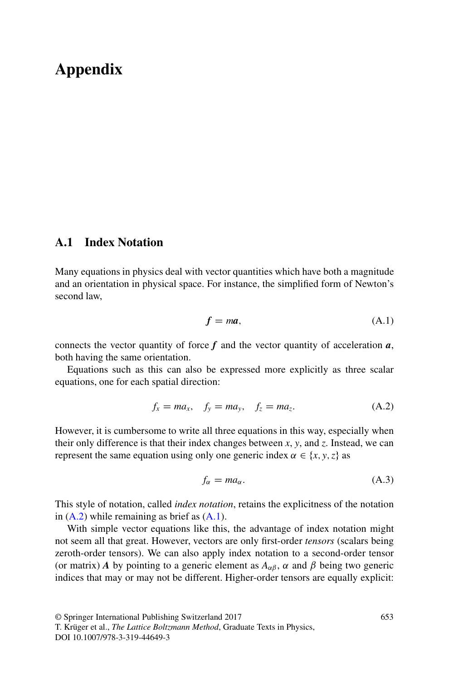# **Appendix**

### **A.1 Index Notation**

Many equations in physics deal with vector quantities which have both a magnitude and an orientation in physical space. For instance, the simplified form of Newton's second law,

<span id="page-0-1"></span>
$$
f = ma,\tag{A.1}
$$

connects the vector quantity of force  $f$  and the vector quantity of acceleration  $a$ , both having the same orientation.

Equations such as this can also be expressed more explicitly as three scalar equations, one for each spatial direction:

<span id="page-0-0"></span>
$$
f_x = ma_x, \quad f_y = ma_y, \quad f_z = ma_z. \tag{A.2}
$$

However, it is cumbersome to write all three equations in this way, especially when their only difference is that their index changes between *x*, *y*, and *z*. Instead, we can represent the same equation using only one generic index  $\alpha \in \{x, y, z\}$  as

$$
f_{\alpha} = ma_{\alpha}.\tag{A.3}
$$

This style of notation, called *index notation*, retains the explicitness of the notation in  $(A.2)$  while remaining as brief as  $(A.1)$ .

With simple vector equations like this, the advantage of index notation might not seem all that great. However, vectors are only first-order *tensors* (scalars being zeroth-order tensors). We can also apply index notation to a second-order tensor (or matrix) *A* by pointing to a generic element as  $A_{\alpha\beta}$ ,  $\alpha$  and  $\beta$  being two generic indices that may or may not be different. Higher-order tensors are equally explicit:

<sup>©</sup> Springer International Publishing Switzerland 2017

T. Krüger et al., *The Lattice Boltzmann Method*, Graduate Texts in Physics, DOI 10.1007/978-3-319-44649-3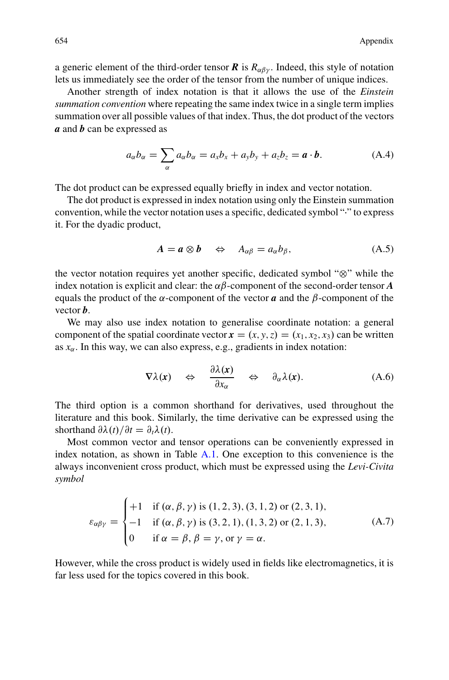a generic element of the third-order tensor  $\bm{R}$  is  $R_{\alpha\beta\gamma}$ . Indeed, this style of notation lets us immediately see the order of the tensor from the number of unique indices.

Another strength of index notation is that it allows the use of the *Einstein summation convention* where repeating the same index twice in a single term implies summation over all possible values of that index. Thus, the dot product of the vectors *a* and *b* can be expressed as

$$
a_{\alpha}b_{\alpha} = \sum_{\alpha} a_{\alpha}b_{\alpha} = a_{x}b_{x} + a_{y}b_{y} + a_{z}b_{z} = \boldsymbol{a} \cdot \boldsymbol{b}.
$$
 (A.4)

The dot product can be expressed equally briefly in index and vector notation.

The dot product is expressed in index notation using only the Einstein summation convention, while the vector notation uses a specific, dedicated symbol "-" to express it. For the dyadic product,

$$
A = a \otimes b \quad \Leftrightarrow \quad A_{\alpha\beta} = a_{\alpha}b_{\beta}, \tag{A.5}
$$

the vector notation requires yet another specific, dedicated symbol " $\otimes$ " while the index notation is explicit and clear: the  $\alpha\beta$ -component of the second-order tensor *A* equals the product of the  $\alpha$ -component of the vector  $\alpha$  and the  $\beta$ -component of the vector *b*.

We may also use index notation to generalise coordinate notation: a general component of the spatial coordinate vector  $\mathbf{x} = (x, y, z) = (x_1, x_2, x_3)$  can be written as  $x_\alpha$ . In this way, we can also express, e.g., gradients in index notation:

$$
\nabla \lambda(\mathbf{x}) \quad \Leftrightarrow \quad \frac{\partial \lambda(\mathbf{x})}{\partial x_{\alpha}} \quad \Leftrightarrow \quad \partial_{\alpha} \lambda(\mathbf{x}). \tag{A.6}
$$

The third option is a common shorthand for derivatives, used throughout the literature and this book. Similarly, the time derivative can be expressed using the shorthand  $\partial \lambda(t)/\partial t = \partial_t \lambda(t)$ .

Most common vector and tensor operations can be conveniently expressed in index notation, as shown in Table [A.1.](#page-2-0) One exception to this convenience is the always inconvenient cross product, which must be expressed using the *Levi-Civita symbol*

$$
\varepsilon_{\alpha\beta\gamma} = \begin{cases}\n+1 & \text{if } (\alpha, \beta, \gamma) \text{ is } (1, 2, 3), (3, 1, 2) \text{ or } (2, 3, 1), \\
-1 & \text{if } (\alpha, \beta, \gamma) \text{ is } (3, 2, 1), (1, 3, 2) \text{ or } (2, 1, 3), \\
0 & \text{if } \alpha = \beta, \beta = \gamma, \text{ or } \gamma = \alpha.\n\end{cases}
$$
\n(A.7)

However, while the cross product is widely used in fields like electromagnetics, it is far less used for the topics covered in this book.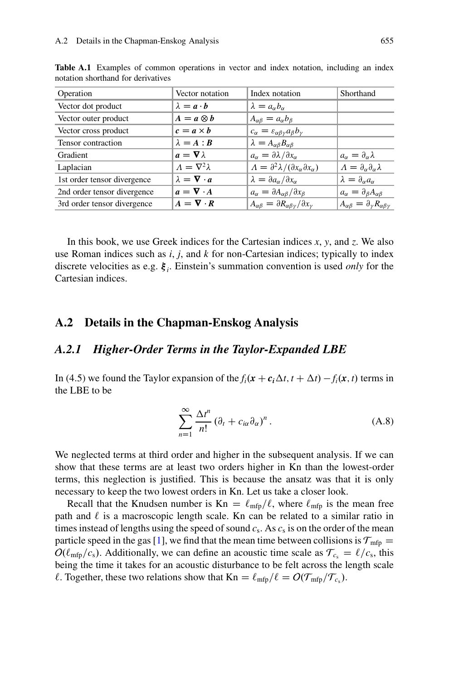| Operation                   | Vector notation              | Index notation                                                                    | Shorthand                                                   |
|-----------------------------|------------------------------|-----------------------------------------------------------------------------------|-------------------------------------------------------------|
| Vector dot product          | $\lambda = a \cdot b$        | $\lambda = a_{\alpha}b_{\alpha}$                                                  |                                                             |
| Vector outer product        | $A = a \otimes b$            | $A_{\alpha\beta} = a_{\alpha}b_{\beta}$                                           |                                                             |
| Vector cross product        | $c = a \times b$             | $c_{\alpha} = \varepsilon_{\alpha\beta\gamma} a_{\beta} b_{\gamma}$               |                                                             |
| Tensor contraction          | $\lambda = A : B$            | $\lambda = A_{\alpha\beta}B_{\alpha\beta}$                                        |                                                             |
| Gradient                    | $a = \nabla \lambda$         | $a_{\alpha} = \partial \lambda / \partial x_{\alpha}$                             | $a_{\alpha} = \partial_{\alpha}\lambda$                     |
| Laplacian                   | $\Lambda = \nabla^2 \lambda$ | $\overline{\Lambda} = \partial^2 \lambda / (\partial x_\alpha \partial x_\alpha)$ | $\Lambda = \partial_{\alpha}\partial_{\alpha}\lambda$       |
| 1st order tensor divergence | $\lambda = \nabla \cdot a$   | $\lambda = \partial a_{\alpha}/\partial x_{\alpha}$                               | $\lambda = \partial_{\alpha} a_{\alpha}$                    |
| 2nd order tensor divergence | $a = \nabla \cdot A$         | $a_{\alpha} = \partial A_{\alpha\beta}/\partial x_{\beta}$                        | $a_{\alpha} = \partial_{\beta} A_{\alpha\beta}$             |
| 3rd order tensor divergence | $A = \nabla \cdot R$         | $A_{\alpha\beta} = \partial R_{\alpha\beta\gamma}/\partial x_{\gamma}$            | $A_{\alpha\beta} = \partial_{\gamma} R_{\alpha\beta\gamma}$ |

<span id="page-2-0"></span>**Table A.1** Examples of common operations in vector and index notation, including an index notation shorthand for derivatives

In this book, we use Greek indices for the Cartesian indices *x*, *y*, and *z*. We also use Roman indices such as *i*, *j*, and *k* for non-Cartesian indices; typically to index discrete velocities as e.g.  $\xi_i$ . Einstein's summation convention is used *only* for the Cartesian indices.

#### **A.2 Details in the Chapman-Enskog Analysis**

#### *A.2.1 Higher-Order Terms in the Taylor-Expanded LBE*

In (4.5) we found the Taylor expansion of the  $f_i(x + c_i \Delta t, t + \Delta t) - f_i(x, t)$  terms in the LBE to be

$$
\sum_{n=1}^{\infty} \frac{\Delta t^n}{n!} \left( \partial_t + c_{i\alpha} \partial_{\alpha} \right)^n.
$$
 (A.8)

We neglected terms at third order and higher in the subsequent analysis. If we can show that these terms are at least two orders higher in Kn than the lowest-order terms, this neglection is justified. This is because the ansatz was that it is only necessary to keep the two lowest orders in Kn. Let us take a closer look.

Recall that the Knudsen number is  $Kn = \ell_{\rm mfp}/\ell$ , where  $\ell_{\rm mfp}$  is the mean free path and  $\ell$  is a macroscopic length scale. Kn can be related to a similar ratio in times instead of lengths using the speed of sound *c*s. As *c*<sup>s</sup> is on the order of the mean particle speed in the gas [\[1\]](#page-33-0), we find that the mean time between collisions is  $\mathcal{T}_{\text{mfp}} =$  $O(\ell_{\rm mfp}/c_s)$ . Additionally, we can define an acoustic time scale as  $\mathcal{T}_{c_s} = \ell/c_s$ , this being the time it takes for an acoustic disturbance to be felt across the length scale  $\ell$ . Together, these two relations show that  $Kn = \ell_{\rm mfp}/\ell = O(\mathcal{T}_{\rm mfp}/\mathcal{T}_{c_s}).$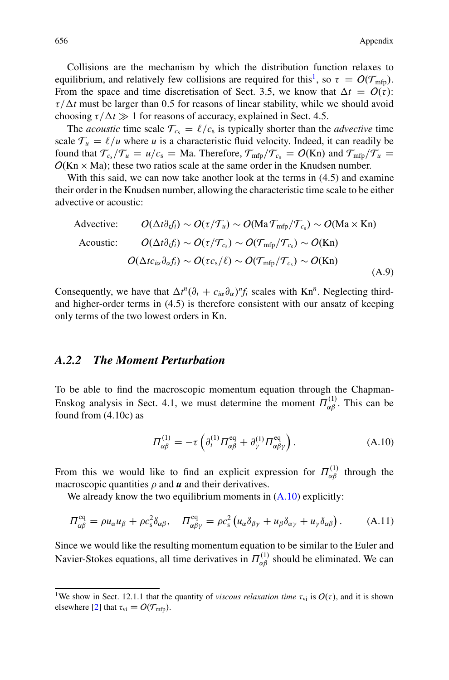Collisions are the mechanism by which the distribution function relaxes to equilibrium, and relatively few collisions are required for this<sup>1</sup>, so  $\tau = O(\mathcal{T}_{\text{mfn}})$ . From the space and time discretisation of Sect. 3.5, we know that  $\Delta t = O(t)$ :  $\tau/\Delta t$  must be larger than 0.5 for reasons of linear stability, while we should avoid choosing  $\tau/\Delta t \gg 1$  for reasons of accuracy, explained in Sect. 4.5.

The *acoustic* time scale  $\mathcal{T}_{c_5} = \ell/c_s$  is typically shorter than the *advective* time scale  $\mathcal{T}_u = \ell / u$  where *u* is a characteristic fluid velocity. Indeed, it can readily be found that  $\mathcal{T}_{c_s}/\mathcal{T}_u=u/c_s=Ma$ . Therefore,  $\mathcal{T}_{\text{mfp}}/\mathcal{T}_{c_s}=\mathcal{O}(Kn)$  and  $\mathcal{T}_{\text{mfp}}/\mathcal{T}_u=\mathcal{T}_{\text{mfp}}/\mathcal{T}_u=\mathcal{T}_{\text{mfp}}/\mathcal{T}_u$  $O(Kn \times Ma)$ ; these two ratios scale at the same order in the Knudsen number.

With this said, we can now take another look at the terms in  $(4.5)$  and examine their order in the Knudsen number, allowing the characteristic time scale to be either advective or acoustic:

Advection:

\n
$$
O(\Delta t \partial_t f_i) \sim O(\tau / \mathcal{T}_u) \sim O(\text{Ma } \mathcal{T}_{\text{mfp}} / \mathcal{T}_{c_s}) \sim O(\text{Ma} \times \text{Kn})
$$
\nAcoustic:

\n
$$
O(\Delta t \partial_t f_i) \sim O(\tau / \mathcal{T}_{c_s}) \sim O(\mathcal{T}_{\text{mfp}} / \mathcal{T}_{c_s}) \sim O(\text{Kn})
$$
\n
$$
O(\Delta t c_{i\alpha} \partial_{\alpha} f_i) \sim O(\tau c_s / \ell) \sim O(\mathcal{T}_{\text{mfp}} / \mathcal{T}_{c_s}) \sim O(\text{Kn})
$$
\n(A.9)

Consequently, we have that  $\Delta t^n (\partial_t + c_{i\alpha} \partial_{\alpha})^n f_i$  scales with Kn<sup>n</sup>. Neglecting third-<br>and higher-order terms in (4.5) is therefore consistent with our ansatz of keeping and higher-order terms in (4.5) is therefore consistent with our ansatz of keeping only terms of the two lowest orders in Kn.

#### <span id="page-3-3"></span>*A.2.2 The Moment Perturbation*

To be able to find the macroscopic momentum equation through the Chapman-Enskog analysis in Sect. 4.1, we must determine the moment  $\Pi_{\alpha\beta}^{(1)}$ . This can be found from (4.10c) as

<span id="page-3-1"></span>
$$
\Pi_{\alpha\beta}^{(1)} = -\tau \left( \partial_t^{(1)} \Pi_{\alpha\beta}^{\text{eq}} + \partial_\gamma^{(1)} \Pi_{\alpha\beta\gamma}^{\text{eq}} \right). \tag{A.10}
$$

From this we would like to find an explicit expression for  $\Pi_{\alpha\beta}^{(1)}$  through the macroscopic quantities  $\rho$  and  $\boldsymbol{u}$  and their derivatives.

We already know the two equilibrium moments in  $(A.10)$  explicitly:

<span id="page-3-2"></span>
$$
\Pi_{\alpha\beta}^{\text{eq}} = \rho u_{\alpha} u_{\beta} + \rho c_s^2 \delta_{\alpha\beta}, \quad \Pi_{\alpha\beta\gamma}^{\text{eq}} = \rho c_s^2 \left( u_{\alpha} \delta_{\beta\gamma} + u_{\beta} \delta_{\alpha\gamma} + u_{\gamma} \delta_{\alpha\beta} \right). \tag{A.11}
$$

Since we would like the resulting momentum equation to be similar to the Euler and Navier-Stokes equations, all time derivatives in  $\Pi_{\alpha\beta}^{(1)}$  should be eliminated. We can

<span id="page-3-0"></span><sup>&</sup>lt;sup>1</sup>We show in Sect. 12.1.1 that the quantity of *viscous relaxation time*  $\tau_{vi}$  is  $O(\tau)$ , and it is shown elsewhere [\[2\]](#page-33-1) that  $\tau_{vi} = O(\mathcal{T}_{\text{mfp}})$ .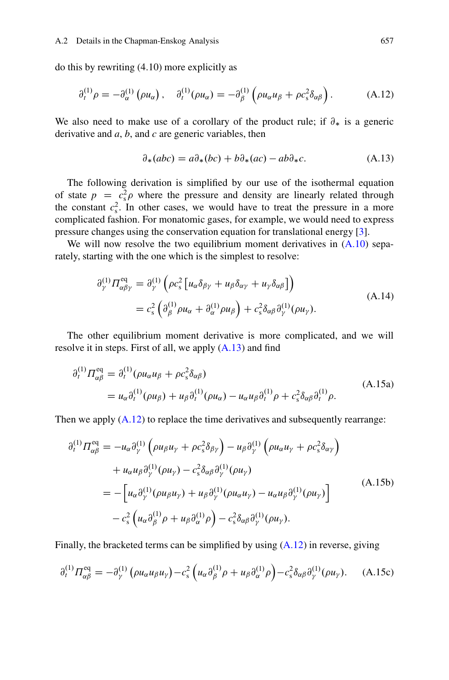do this by rewriting (4.10) more explicitly as

<span id="page-4-1"></span>
$$
\partial_t^{(1)} \rho = -\partial_\alpha^{(1)} (\rho u_\alpha) \,, \quad \partial_t^{(1)} (\rho u_\alpha) = -\partial_\beta^{(1)} \left( \rho u_\alpha u_\beta + \rho c_s^2 \delta_{\alpha \beta} \right). \tag{A.12}
$$

We also need to make use of a corollary of the product rule; if  $\partial_{*}$  is a generic derivative and *a*, *b*, and *c* are generic variables, then

<span id="page-4-0"></span>
$$
\partial_*(abc) = a\partial_*(bc) + b\partial_*(ac) - ab\partial_*c. \tag{A.13}
$$

The following derivation is simplified by our use of the isothermal equation of state  $p = c_s^2 \rho$  where the pressure and density are linearly related through<br>the constant  $c^2$ . In other cases, we would have to treat the pressure in a more the constant  $c_s^2$ . In other cases, we would have to treat the pressure in a more complicated fashion. For monatomic gases, for example, we would need to express pressure changes using the conservation equation for translational energy [\[3\]](#page-33-2).

We will now resolve the two equilibrium moment derivatives in  $(A.10)$  separately, starting with the one which is the simplest to resolve:

<span id="page-4-2"></span>
$$
\partial_{\gamma}^{(1)} \Pi_{\alpha\beta\gamma}^{\text{eq}} = \partial_{\gamma}^{(1)} \left( \rho c_s^2 \left[ u_{\alpha} \delta_{\beta\gamma} + u_{\beta} \delta_{\alpha\gamma} + u_{\gamma} \delta_{\alpha\beta} \right] \right)
$$
\n
$$
= c_s^2 \left( \partial_{\beta}^{(1)} \rho u_{\alpha} + \partial_{\alpha}^{(1)} \rho u_{\beta} \right) + c_s^2 \delta_{\alpha\beta} \partial_{\gamma}^{(1)} (\rho u_{\gamma}).
$$
\n(A.14)

The other equilibrium moment derivative is more complicated, and we will resolve it in steps. First of all, we apply [\(A.13\)](#page-4-0) and find

$$
\partial_t^{(1)} \Pi_{\alpha\beta}^{\text{eq}} = \partial_t^{(1)} (\rho u_{\alpha} u_{\beta} + \rho c_s^2 \delta_{\alpha\beta})
$$
\n
$$
= u_{\alpha} \partial_t^{(1)} (\rho u_{\beta}) + u_{\beta} \partial_t^{(1)} (\rho u_{\alpha}) - u_{\alpha} u_{\beta} \partial_t^{(1)} \rho + c_s^2 \delta_{\alpha\beta} \partial_t^{(1)} \rho.
$$
\n(A.15a)

Then we apply  $(A.12)$  to replace the time derivatives and subsequently rearrange:

$$
\partial_t^{(1)} \Pi_{\alpha\beta}^{\text{eq}} = -u_{\alpha} \partial_\gamma^{(1)} \left( \rho u_{\beta} u_{\gamma} + \rho c_s^2 \delta_{\beta\gamma} \right) - u_{\beta} \partial_\gamma^{(1)} \left( \rho u_{\alpha} u_{\gamma} + \rho c_s^2 \delta_{\alpha\gamma} \right) \n+ u_{\alpha} u_{\beta} \partial_\gamma^{(1)} (\rho u_{\gamma}) - c_s^2 \delta_{\alpha\beta} \partial_\gamma^{(1)} (\rho u_{\gamma}) \n= - \left[ u_{\alpha} \partial_\gamma^{(1)} (\rho u_{\beta} u_{\gamma}) + u_{\beta} \partial_\gamma^{(1)} (\rho u_{\alpha} u_{\gamma}) - u_{\alpha} u_{\beta} \partial_\gamma^{(1)} (\rho u_{\gamma}) \right] \n- c_s^2 \left( u_{\alpha} \partial_\beta^{(1)} \rho + u_{\beta} \partial_\alpha^{(1)} \rho \right) - c_s^2 \delta_{\alpha\beta} \partial_\gamma^{(1)} (\rho u_{\gamma}).
$$
\n(A.15b)

Finally, the bracketed terms can be simplified by using [\(A.12\)](#page-4-1) in reverse, giving

<span id="page-4-3"></span>
$$
\partial_t^{(1)} \Pi_{\alpha\beta}^{\text{eq}} = -\partial_\gamma^{(1)} \left( \rho u_\alpha u_\beta u_\gamma \right) - c_s^2 \left( u_\alpha \partial_\beta^{(1)} \rho + u_\beta \partial_\alpha^{(1)} \rho \right) - c_s^2 \delta_{\alpha\beta} \partial_\gamma^{(1)} (\rho u_\gamma). \tag{A.15c}
$$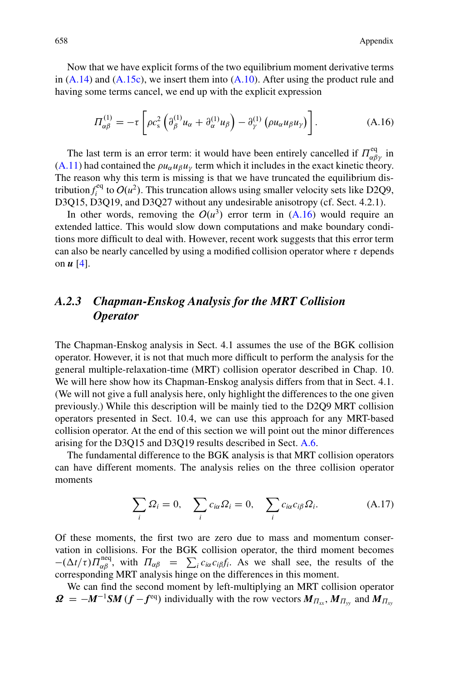Now that we have explicit forms of the two equilibrium moment derivative terms in  $(A.14)$  and  $(A.15c)$ , we insert them into  $(A.10)$ . After using the product rule and having some terms cancel, we end up with the explicit expression

<span id="page-5-0"></span>
$$
\Pi_{\alpha\beta}^{(1)} = -\tau \left[ \rho c_s^2 \left( \partial_\beta^{(1)} u_\alpha + \partial_\alpha^{(1)} u_\beta \right) - \partial_\gamma^{(1)} \left( \rho u_\alpha u_\beta u_\gamma \right) \right]. \tag{A.16}
$$

The last term is an error term: it would have been entirely cancelled if  $\Pi_{\alpha\beta\gamma}^{\text{eq}}$  in  $(A.11)$  had contained the  $\rho u_{\alpha} u_{\beta} u_{\gamma}$  term which it includes in the exact kinetic theory. The reason why this term is missing is that we have truncated the equilibrium distribution  $f_i^{\text{eq}}$  to  $O(u^2)$ . This truncation allows using smaller velocity sets like D2Q9, D3Q15, D3Q19, and D3Q27 without any undesirable anisotropy (cf. Sect. 4.2.1).

In other words, removing the  $O(u^3)$  error term in  $(A.16)$  would require an extended lattice. This would slow down computations and make boundary conditions more difficult to deal with. However, recent work suggests that this error term can also be nearly cancelled by using a modified collision operator where  $\tau$  depends on *u* [\[4\]](#page-33-3).

# <span id="page-5-1"></span>*A.2.3 Chapman-Enskog Analysis for the MRT Collision Operator*

The Chapman-Enskog analysis in Sect. 4.1 assumes the use of the BGK collision operator. However, it is not that much more difficult to perform the analysis for the general multiple-relaxation-time (MRT) collision operator described in Chap. 10. We will here show how its Chapman-Enskog analysis differs from that in Sect. 4.1. (We will not give a full analysis here, only highlight the differences to the one given previously.) While this description will be mainly tied to the D2Q9 MRT collision operators presented in Sect. 10.4, we can use this approach for any MRT-based collision operator. At the end of this section we will point out the minor differences arising for the D3Q15 and D3Q19 results described in Sect. [A.6.](#page-16-0)

The fundamental difference to the BGK analysis is that MRT collision operators can have different moments. The analysis relies on the three collision operator moments

$$
\sum_{i} \Omega_i = 0, \quad \sum_{i} c_{i\alpha} \Omega_i = 0, \quad \sum_{i} c_{i\alpha} c_{i\beta} \Omega_i.
$$
 (A.17)

Of these moments, the first two are zero due to mass and momentum conservation in collisions. For the BGK collision operator, the third moment becomes  $-(\Delta t/\tau) \Pi_{\alpha\beta}^{\text{neq}}$ , with  $\Pi_{\alpha\beta} = \sum_i c_{i\alpha} c_{i\beta} f_i$ . As we shall see, the results of the corresponding MBT analysis hinge on the differences in this moment corresponding MRT analysis hinge on the differences in this moment.

We can find the second moment by left-multiplying an MRT collision operator  $\Omega = -M^{-1}SM(f - f^{eq})$  individually with the row vectors  $M_{\Pi_{xx}}$ ,  $M_{\Pi_{yy}}$  and  $M_{\Pi_{xy}}$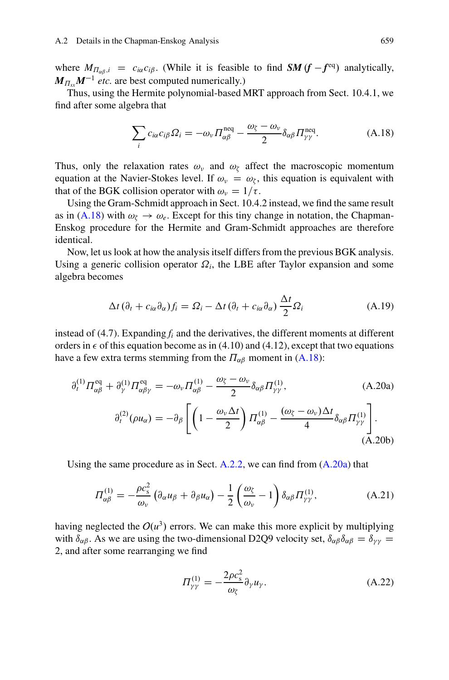where  $M_{\Pi_{\alpha\beta},i} = c_{i\alpha}c_{i\beta}$ . (While it is feasible to find *SM*  $(f - f^{\text{eq}})$  analytically,  $M_{\Pi}$ <sub>*x</sub>M*<sup>-1</sup> *etc.* are best computed numerically.)</sub>

Thus, using the Hermite polynomial-based MRT approach from Sect. 10.4.1, we find after some algebra that

<span id="page-6-0"></span>
$$
\sum_{i} c_{i\alpha} c_{i\beta} \Omega_i = -\omega_{\nu} \Pi_{\alpha\beta}^{\text{neq}} - \frac{\omega_{\zeta} - \omega_{\nu}}{2} \delta_{\alpha\beta} \Pi_{\gamma\gamma}^{\text{neq}}.
$$
 (A.18)

Thus, only the relaxation rates  $\omega_{\nu}$  and  $\omega_{\zeta}$  affect the macroscopic momentum equation at the Navier-Stokes level. If  $\omega_{\nu} = \omega_{\zeta}$ , this equation is equivalent with that of the BGK collision operator with  $\omega_{\nu}=1/\tau$ .

Using the Gram-Schmidt approach in Sect. 10.4.2 instead, we find the same result as in [\(A.18\)](#page-6-0) with  $\omega_{\zeta} \to \omega_{e}$ . Except for this tiny change in notation, the Chapman-Enskog procedure for the Hermite and Gram-Schmidt approaches are therefore identical.

Now, let us look at how the analysis itself differs from the previous BGK analysis. Using a generic collision operator  $\Omega_i$ , the LBE after Taylor expansion and some algebra becomes

<span id="page-6-1"></span>
$$
\Delta t (\partial_t + c_{i\alpha} \partial_\alpha) f_i = \Omega_i - \Delta t (\partial_t + c_{i\alpha} \partial_\alpha) \frac{\Delta t}{2} \Omega_i
$$
 (A.19)

instead of  $(4.7)$ . Expanding  $f_i$  and the derivatives, the different moments at different orders in  $\epsilon$  of this equation become as in (4.10) and (4.12), except that two equations have a few extra terms stemming from the  $\Pi_{\alpha\beta}$  moment in [\(A.18\)](#page-6-0):

$$
\partial_t^{(1)} \Pi_{\alpha\beta}^{\text{eq}} + \partial_y^{(1)} \Pi_{\alpha\beta\gamma}^{\text{eq}} = -\omega_\nu \Pi_{\alpha\beta}^{(1)} - \frac{\omega_\zeta - \omega_\nu}{2} \delta_{\alpha\beta} \Pi_{\gamma\gamma}^{(1)},\tag{A.20a}
$$
\n
$$
\partial_t^{(2)}(\rho u_\alpha) = -\partial_\beta \left[ \left( 1 - \frac{\omega_\nu \Delta t}{2} \right) \Pi_{\alpha\beta}^{(1)} - \frac{(\omega_\zeta - \omega_\nu) \Delta t}{4} \delta_{\alpha\beta} \Pi_{\gamma\gamma}^{(1)} \right].
$$
\n(A.20b)

Using the same procedure as in Sect. [A.2.2,](#page-3-3) we can find from  $(A.20a)$  that

$$
\Pi_{\alpha\beta}^{(1)} = -\frac{\rho c_s^2}{\omega_\nu} \left( \partial_\alpha u_\beta + \partial_\beta u_\alpha \right) - \frac{1}{2} \left( \frac{\omega_\zeta}{\omega_\nu} - 1 \right) \delta_{\alpha\beta} \Pi_{\gamma\gamma}^{(1)},\tag{A.21}
$$

having neglected the  $O(u^3)$  errors. We can make this more explicit by multiplying with  $\delta_{\alpha\beta}$ . As we are using the two-dimensional D2Q9 velocity set,  $\delta_{\alpha\beta}\delta_{\alpha\beta} = \delta_{\gamma\gamma} =$ <br>2 and after some rearranging we find 2, and after some rearranging we find

<span id="page-6-2"></span>
$$
\Pi_{\gamma\gamma}^{(1)} = -\frac{2\rho c_s^2}{\omega_\zeta} \partial_\gamma u_\gamma.
$$
\n(A.22)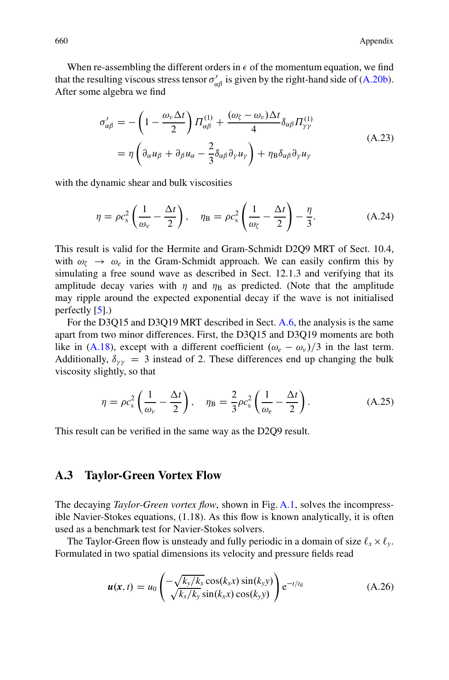When re-assembling the different orders in  $\epsilon$  of the momentum equation, we find that the resulting viscous stress tensor  $\sigma'_{\alpha\beta}$  is given by the right-hand side of [\(A.20b\)](#page-6-2). After some algebra we find

$$
\sigma'_{\alpha\beta} = -\left(1 - \frac{\omega_{\nu}\Delta t}{2}\right)\Pi_{\alpha\beta}^{(1)} + \frac{(\omega_{\zeta} - \omega_{\nu})\Delta t}{4}\delta_{\alpha\beta}\Pi_{\gamma\gamma}^{(1)}
$$
\n
$$
= \eta \left(\partial_{\alpha}u_{\beta} + \partial_{\beta}u_{\alpha} - \frac{2}{3}\delta_{\alpha\beta}\partial_{\gamma}u_{\gamma}\right) + \eta_{\text{B}}\delta_{\alpha\beta}\partial_{\gamma}u_{\gamma}
$$
\n(A.23)

with the dynamic shear and bulk viscosities

$$
\eta = \rho c_s^2 \left( \frac{1}{\omega_v} - \frac{\Delta t}{2} \right), \quad \eta_B = \rho c_s^2 \left( \frac{1}{\omega_\zeta} - \frac{\Delta t}{2} \right) - \frac{\eta}{3}.
$$
 (A.24)

This result is valid for the Hermite and Gram-Schmidt D2Q9 MRT of Sect. 10.4, with  $\omega_c \rightarrow \omega_e$  in the Gram-Schmidt approach. We can easily confirm this by simulating a free sound wave as described in Sect. 12.1.3 and verifying that its amplitude decay varies with  $\eta$  and  $\eta_B$  as predicted. (Note that the amplitude may ripple around the expected exponential decay if the wave is not initialised perfectly  $[5]$ .)

For the D3Q15 and D3Q19 MRT described in Sect. [A.6,](#page-16-0) the analysis is the same apart from two minor differences. First, the D3Q15 and D3Q19 moments are both like in [\(A.18\)](#page-6-0), except with a different coefficient  $(\omega_e - \omega_v)/3$  in the last term. Additionally,  $\delta_{\gamma\gamma} = 3$  instead of 2. These differences end up changing the bulk<br>viscosity slightly so that viscosity slightly, so that

$$
\eta = \rho c_s^2 \left( \frac{1}{\omega_v} - \frac{\Delta t}{2} \right), \quad \eta_B = \frac{2}{3} \rho c_s^2 \left( \frac{1}{\omega_e} - \frac{\Delta t}{2} \right).
$$
 (A.25)

This result can be verified in the same way as the D2Q9 result.

#### **A.3 Taylor-Green Vortex Flow**

The decaying *Taylor-Green vortex flow*, shown in Fig. [A.1,](#page-8-0) solves the incompressible Navier-Stokes equations, (1.18). As this flow is known analytically, it is often used as a benchmark test for Navier-Stokes solvers.

The Taylor-Green flow is unsteady and fully periodic in a domain of size  $\ell_x \times \ell_y$ . Formulated in two spatial dimensions its velocity and pressure fields read

<span id="page-7-0"></span>
$$
u(x,t) = u_0 \left( \frac{-\sqrt{k_y/k_x} \cos(k_x x) \sin(k_y y)}{\sqrt{k_x/k_y} \sin(k_x x) \cos(k_y y)} \right) e^{-t/t_d}
$$
 (A.26)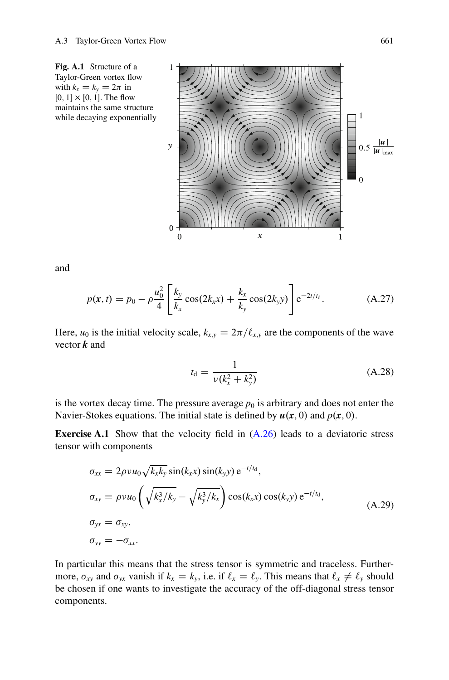<span id="page-8-0"></span>Fig. A.1 Structure of a Taylor-Green vortex flow with  $k_x = k_y = 2\pi$  in  $[0, 1] \times [0, 1]$ . The flow maintains the same structure while decaying exponentially



and

<span id="page-8-1"></span>
$$
p(\mathbf{x}, t) = p_0 - \rho \frac{u_0^2}{4} \left[ \frac{k_y}{k_x} \cos(2k_x x) + \frac{k_x}{k_y} \cos(2k_y y) \right] e^{-2t/t_d}.
$$
 (A.27)

Here,  $u_0$  is the initial velocity scale,  $k_{x,y} = 2\pi/\ell_{x,y}$  are the components of the wave vector *k* and

$$
t_{\rm d} = \frac{1}{\nu (k_x^2 + k_y^2)}\tag{A.28}
$$

is the vortex decay time. The pressure average  $p_0$  is arbitrary and does not enter the Navier-Stokes equations. The initial state is defined by  $u(x, 0)$  and  $p(x, 0)$ .

**Exercise A.1** Show that the velocity field in  $(A.26)$  leads to a deviatoric stress tensor with components

$$
\sigma_{xx} = 2\rho v u_0 \sqrt{k_x k_y} \sin(k_x x) \sin(k_y y) e^{-t/t_d},
$$
  
\n
$$
\sigma_{xy} = \rho v u_0 \left( \sqrt{k_x^3 / k_y} - \sqrt{k_y^3 / k_x} \right) \cos(k_x x) \cos(k_y y) e^{-t/t_d},
$$
  
\n
$$
\sigma_{yx} = \sigma_{xy},
$$
  
\n
$$
\sigma_{yy} = -\sigma_{xx}.
$$
\n(A.29)

In particular this means that the stress tensor is symmetric and traceless. Furthermore,  $\sigma_{xy}$  and  $\sigma_{yx}$  vanish if  $k_x = k_y$ , i.e. if  $\ell_x = \ell_y$ . This means that  $\ell_x \neq \ell_y$  should be chosen if one wants to investigate the accuracy of the off-diagonal stress tensor components.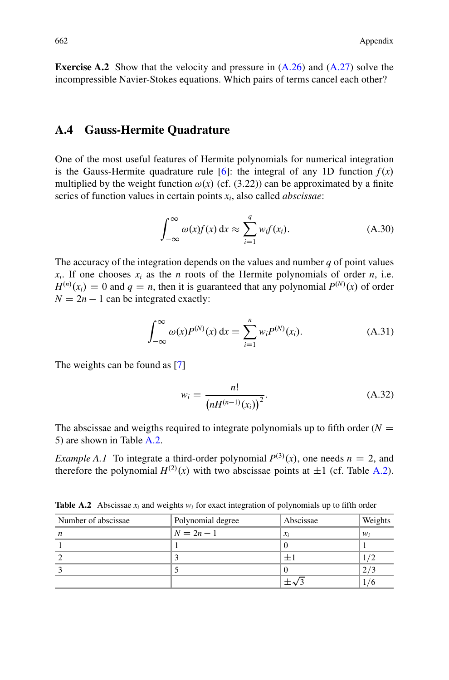**Exercise A.2** Show that the velocity and pressure in  $(A.26)$  and  $(A.27)$  solve the incompressible Navier-Stokes equations. Which pairs of terms cancel each other?

#### **A.4 Gauss-Hermite Quadrature**

One of the most useful features of Hermite polynomials for numerical integration is the Gauss-Hermite quadrature rule [\[6\]](#page-34-0): the integral of any 1D function  $f(x)$ multiplied by the weight function  $\omega(x)$  (cf. (3.22)) can be approximated by a finite series of function values in certain points *xi*, also called *abscissae*:

$$
\int_{-\infty}^{\infty} \omega(x) f(x) dx \approx \sum_{i=1}^{q} w_i f(x_i).
$$
 (A.30)

The accuracy of the integration depends on the values and number *q* of point values  $x_i$ . If one chooses  $x_i$  as the *n* roots of the Hermite polynomials of order *n*, i.e.  $H^{(n)}(x_i) = 0$  and  $q = n$ , then it is guaranteed that any polynomial  $P^{(N)}(x)$  of order  $N - 2n - 1$  can be integrated exactly:  $N = 2n - 1$  can be integrated exactly:

<span id="page-9-1"></span>
$$
\int_{-\infty}^{\infty} \omega(x) P^{(N)}(x) dx = \sum_{i=1}^{n} w_i P^{(N)}(x_i).
$$
 (A.31)

The weights can be found as [\[7\]](#page-34-1)

$$
w_i = \frac{n!}{(nH^{(n-1)}(x_i))^2}.
$$
 (A.32)

The abscissae and weigths required to integrate polynomials up to fifth order  $(N =$ 5) are shown in Table [A.2.](#page-9-0)

*Example A.1* To integrate a third-order polynomial  $P^{(3)}(x)$ , one needs  $n = 2$ , and therefore the polynomial  $H^{(2)}(x)$  with two abscissae points at  $\pm 1$  (cf. Table [A.2\)](#page-9-0).

**Table A.2** Abscissae  $x_i$  and weights  $w_i$  for exact integration of polynomials up to fifth order

<span id="page-9-0"></span>

| Number of abscissae | Polynomial degree | Abscissae | Weights |  |
|---------------------|-------------------|-----------|---------|--|
| n                   | $N = 2n - 1$      | $x_i$     | $W_i$   |  |
|                     |                   |           |         |  |
|                     |                   | $^+$      |         |  |
|                     |                   |           |         |  |
|                     |                   | ±√≾       | 16      |  |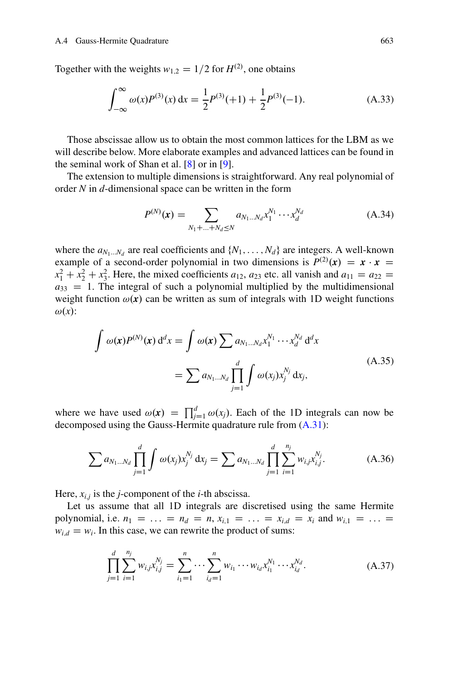Together with the weights  $w_{1,2} = 1/2$  for  $H^{(2)}$ , one obtains

$$
\int_{-\infty}^{\infty} \omega(x) P^{(3)}(x) dx = \frac{1}{2} P^{(3)}(+1) + \frac{1}{2} P^{(3)}(-1).
$$
 (A.33)

Those abscissae allow us to obtain the most common lattices for the LBM as we will describe below. More elaborate examples and advanced lattices can be found in the seminal work of Shan et al. [\[8\]](#page-34-2) or in [\[9\]](#page-34-3).

The extension to multiple dimensions is straightforward. Any real polynomial of order *N* in *d*-dimensional space can be written in the form

$$
P^{(N)}(\mathbf{x}) = \sum_{N_1 + \dots + N_d \le N} a_{N_1 \dots N_d} x_1^{N_1} \cdots x_d^{N_d}
$$
 (A.34)

where the  $a_{N_1...N_d}$  are real coefficients and  $\{N_1,\ldots,N_d\}$  are integers. A well-known example of a second-order polynomial in two dimensions is  $P^{(2)}(x) = x \cdot x =$ <br> $x^2 + x^2 + x^2$ . Here the mixed coefficients *are also* at call vanish and  $a_1 - a_2 =$  $x_1^2 + x_2^2 + x_3^2$ . Here, the mixed coefficients  $a_{12}$ ,  $a_{23}$  etc. all vanish and  $a_{11} = a_{22} = a_{23} - 1$ . The integral of such a nolynomial multiplied by the multidimensional  $a_{33} = 1$ . The integral of such a polynomial multiplied by the multidimensional weight function  $\omega(x)$  can be written as sum of integrals with 1D weight functions  $\omega(x)$ :

$$
\int \omega(\mathbf{x}) P^{(N)}(\mathbf{x}) d^d x = \int \omega(\mathbf{x}) \sum a_{N_1...N_d} x_1^{N_1} \cdots x_d^{N_d} d^d x
$$
\n
$$
= \sum a_{N_1...N_d} \prod_{j=1}^d \int \omega(x_j) x_j^{N_j} dx_j,
$$
\n(A.35)

where we have used  $\omega(x) = \prod_{j=1}^{d} \omega(x_j)$ . Each of the 1D integrals can now be decomposed using the Gauss-Hermite quadrature rule from (A 31). decomposed using the Gauss-Hermite quadrature rule from  $(A.31)$ :

$$
\sum a_{N_1...N_d} \prod_{j=1}^d \int \omega(x_j) x_j^{N_j} dx_j = \sum a_{N_1...N_d} \prod_{j=1}^d \sum_{i=1}^{n_j} w_{i,j} x_{i,j}^{N_j}.
$$
 (A.36)

Here,  $x_{i,j}$  is the *j*-component of the *i*-th abscissa.

Let us assume that all 1D integrals are discretised using the same Hermite polynomial, i.e.  $n_1 = \ldots = n_d = n$ ,  $x_{i,1} = \ldots = x_{i,d} = x_i$  and  $w_{i,1} = \ldots =$  $w_{i,d} = w_i$ . In this case, we can rewrite the product of sums:

<span id="page-10-0"></span>
$$
\prod_{j=1}^{d} \sum_{i=1}^{n_j} w_{i,j} x_{i,j}^{N_j} = \sum_{i_1=1}^{n} \cdots \sum_{i_d=1}^{n} w_{i_1} \cdots w_{i_d} x_{i_1}^{N_1} \cdots x_{i_d}^{N_d}.
$$
\n(A.37)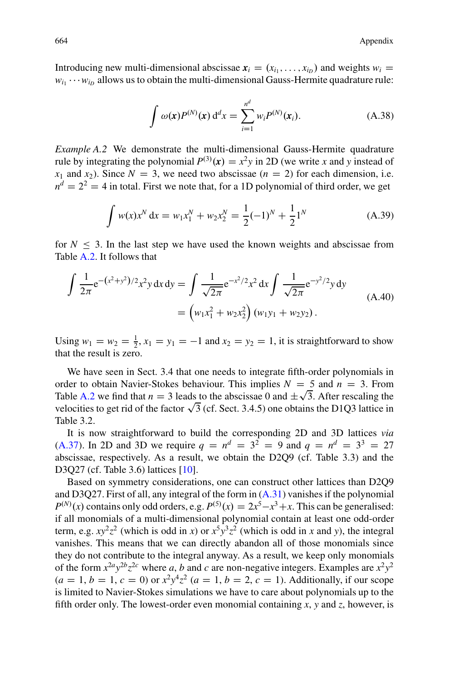Introducing new multi-dimensional abscissae  $\mathbf{x}_i = (x_{i_1}, \ldots, x_{i_D})$  and weights  $w_i =$  $w_{i_1} \cdots w_{i_D}$  allows us to obtain the multi-dimensional Gauss-Hermite quadrature rule:

$$
\int \omega(\mathbf{x}) P^{(N)}(\mathbf{x}) d^d x = \sum_{i=1}^{n^d} w_i P^{(N)}(\mathbf{x}_i).
$$
 (A.38)

*Example A.2* We demonstrate the multi-dimensional Gauss-Hermite quadrature rule by integrating the polynomial  $P^{(3)}(x) = x^2y$  in 2D (we write *x* and *y* instead of  $x_1$  and  $x_2$ ). Since  $N = 3$ , we need two abscissae ( $n = 2$ ) for each dimension, i.e.  $n^d = 2^2 = 4$  in total. First we note that, for a 1D polynomial of third order, we get

$$
\int w(x)x^{N} dx = w_1 x_1^{N} + w_2 x_2^{N} = \frac{1}{2}(-1)^{N} + \frac{1}{2}1^{N}
$$
 (A.39)

for  $N \leq 3$ . In the last step we have used the known weights and abscissae from Table [A.2.](#page-9-0) It follows that

$$
\int \frac{1}{2\pi} e^{-(x^2+y^2)/2} x^2 y \, dx \, dy = \int \frac{1}{\sqrt{2\pi}} e^{-x^2/2} x^2 \, dx \int \frac{1}{\sqrt{2\pi}} e^{-y^2/2} y \, dy
$$
\n
$$
= \left( w_1 x_1^2 + w_2 x_2^2 \right) \left( w_1 y_1 + w_2 y_2 \right).
$$
\n(A.40)

Using  $w_1 = w_2 = \frac{1}{2}$ ,  $x_1 = y_1 = -1$  and  $x_2 = y_2 = 1$ , it is straightforward to show that the result is zero.

We have seen in Sect. 3.4 that one needs to integrate fifth-order polynomials in order to obtain Navier-Stokes behaviour. This implies  $N = 5$  and  $n = 3$ . From Table [A.2](#page-9-0) we find that  $n = 3$  leads to the abscissae 0 and  $\pm \sqrt{3}$ . After rescaling the velocities to get rid of the factor  $\sqrt{3}$  (cf. Sect. 3.4.5) one obtains the D1O3 lattice in velocities to get rid of the factor  $\sqrt{3}$  (cf. Sect. 3.4.5) one obtains the D1Q3 lattice in Table 3.2.

It is now straightforward to build the corresponding 2D and 3D lattices *via* [\(A.37\)](#page-10-0). In 2D and 3D we require  $q = n^d = 3^2 = 9$  and  $q = n^d = 3^3 = 27$ abscissae, respectively. As a result, we obtain the D2Q9 (cf. Table 3.3) and the D3Q27 (cf. Table 3.6) lattices [\[10\]](#page-34-4).

Based on symmetry considerations, one can construct other lattices than D2Q9 and D3Q27. First of all, any integral of the form in  $(A.31)$  vanishes if the polynomial  $P^{(N)}(x)$  contains only odd orders, e.g.  $P^{(5)}(x) = 2x^5 - x^3 + x$ . This can be generalised:<br>if all monomials of a multi-dimensional polynomial contain at least one odd-order if all monomials of a multi-dimensional polynomial contain at least one odd-order term, e.g.  $xy^2z^2$  (which is odd in *x*) or  $x^5y^3z^2$  (which is odd in *x* and *y*), the integral vanishes. This means that we can directly abandon all of those monomials since they do not contribute to the integral anyway. As a result, we keep only monomials of the form  $x^{2a}y^{2b}z^{2c}$  where *a*, *b* and *c* are non-negative integers. Examples are  $x^2y^2$  $(a = 1, b = 1, c = 0)$  or  $x^2y^4z^2$   $(a = 1, b = 2, c = 1)$ . Additionally, if our scope is limited to Navier-Stokes simulations we have to care about polynomials up to the fifth order only. The lowest-order even monomial containing *x*, *y* and *z*, however, is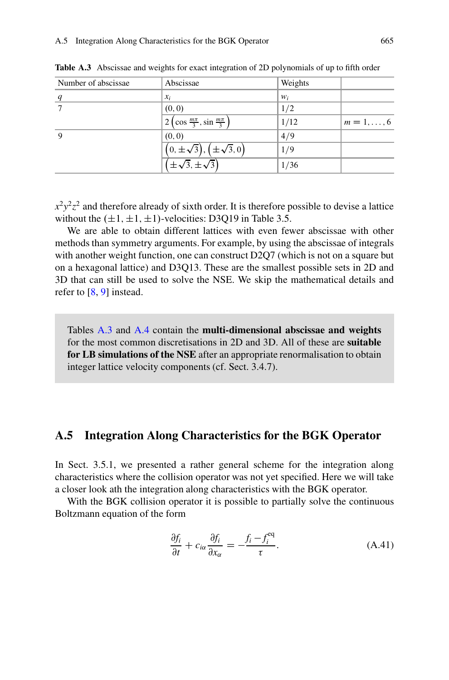<span id="page-12-0"></span>

| Number of abscissae | Abscissae                                             | Weights |                |
|---------------------|-------------------------------------------------------|---------|----------------|
| $\boldsymbol{q}$    | $x_i$                                                 | $W_i$   |                |
|                     | (0, 0)                                                | 1/2     |                |
|                     | $\left(\cos\frac{m\pi}{3}, \sin\frac{m\pi}{3}\right)$ | 1/12    | $m=1,\ldots,6$ |
| 9                   | (0, 0)                                                | 4/9     |                |
|                     | $(0, \pm \sqrt{3}),$<br>$(\pm\sqrt{3},0)$             | 1/9     |                |
|                     | $\pm\sqrt{3},\pm\sqrt{3}$                             | 1/36    |                |

**Table A.3** Abscissae and weights for exact integration of 2D polynomials of up to fifth order

 $x^2y^2z^2$  and therefore already of sixth order. It is therefore possible to devise a lattice without the  $(\pm 1, \pm 1, \pm 1)$ -velocities: D3O19 in Table 3.5.

We are able to obtain different lattices with even fewer abscissae with other methods than symmetry arguments. For example, by using the abscissae of integrals with another weight function, one can construct D2O7 (which is not on a square but on a hexagonal lattice) and D3Q13. These are the smallest possible sets in 2D and 3D that can still be used to solve the NSE. We skip the mathematical details and refer to [\[8,](#page-34-2) [9\]](#page-34-3) instead.

Tables [A.3](#page-12-0) and [A.4](#page-13-0) contain the **multi-dimensional abscissae and weights** for the most common discretisations in 2D and 3D. All of these are **suitable for LB simulations of the NSE** after an appropriate renormalisation to obtain integer lattice velocity components (cf. Sect. 3.4.7).

### **A.5 Integration Along Characteristics for the BGK Operator**

In Sect. 3.5.1, we presented a rather general scheme for the integration along characteristics where the collision operator was not yet specified. Here we will take a closer look ath the integration along characteristics with the BGK operator.

With the BGK collision operator it is possible to partially solve the continuous Boltzmann equation of the form

$$
\frac{\partial f_i}{\partial t} + c_{i\alpha} \frac{\partial f_i}{\partial x_{\alpha}} = -\frac{f_i - f_i^{\text{eq}}}{\tau}.
$$
 (A.41)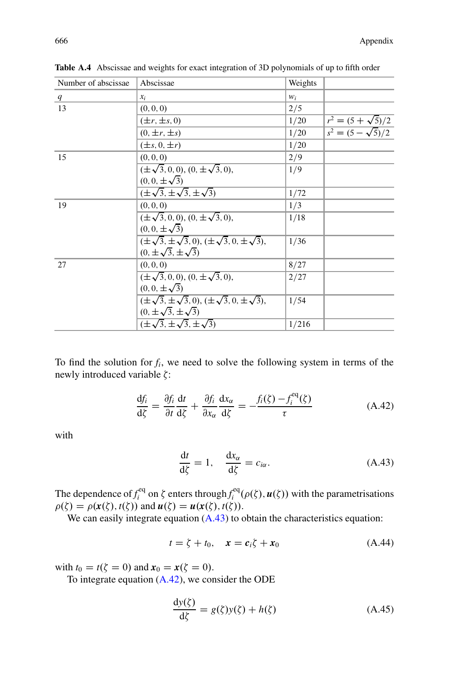<span id="page-13-0"></span>

| Number of abscissae | Abscissae                                                           | Weights |                          |
|---------------------|---------------------------------------------------------------------|---------|--------------------------|
| $\overline{q}$      | $x_i$                                                               | $W_i$   |                          |
| 13                  | (0, 0, 0)                                                           | 2/5     |                          |
|                     | $(\pm r, \pm s, 0)$                                                 | 1/20    | $r^2 = (5 + \sqrt{5})/2$ |
|                     | $(0, \pm r, \pm s)$                                                 | 1/20    | $s^2 = (5 - \sqrt{5})/2$ |
|                     | $(\pm s, 0, \pm r)$                                                 | 1/20    |                          |
| 15                  | (0, 0, 0)                                                           | 2/9     |                          |
|                     | $\overline{(\pm \sqrt{3}, 0, 0)},$ $(0, \pm \sqrt{3}, 0),$          | 1/9     |                          |
|                     | $(0, 0, \pm \sqrt{3})$                                              |         |                          |
|                     | $(\pm\sqrt{3},\pm\sqrt{3},\pm\sqrt{3})$                             | 1/72    |                          |
| 19                  | (0, 0, 0)                                                           | 1/3     |                          |
|                     | $(\pm \sqrt{3}, 0, 0), (0, \pm \sqrt{3}, 0),$                       | 1/18    |                          |
|                     | $(0, 0, \pm \sqrt{3})$                                              |         |                          |
|                     | $(\pm \sqrt{3}, \pm \sqrt{3}, 0), (\pm \sqrt{3}, 0, \pm \sqrt{3}),$ | 1/36    |                          |
|                     | $(0, \pm \sqrt{3}, \pm \sqrt{3})$                                   |         |                          |
| 27                  | (0, 0, 0)                                                           | 8/27    |                          |
|                     | $(\pm \sqrt{3}, 0, 0), (0, \pm \sqrt{3}, 0),$                       | 2/27    |                          |
|                     | $(0, 0, \pm \sqrt{3})$                                              |         |                          |
|                     | $(\pm\sqrt{3}, \pm\sqrt{3}, 0), (\pm\sqrt{3}, 0, \pm\sqrt{3}),$     | 1/54    |                          |
|                     | $(0, \pm\sqrt{3}, \pm\sqrt{3})$                                     |         |                          |
|                     | $(\pm\sqrt{3}, \pm\sqrt{3}, \pm\sqrt{3})$                           | 1/216   |                          |

**Table A.4** Abscissae and weights for exact integration of 3D polynomials of up to fifth order

To find the solution for *fi*, we need to solve the following system in terms of the newly introduced variable  $\zeta$ :

<span id="page-13-2"></span>
$$
\frac{\mathrm{d}f_i}{\mathrm{d}\zeta} = \frac{\partial f_i}{\partial t}\frac{\mathrm{d}t}{\mathrm{d}\zeta} + \frac{\partial f_i}{\partial x_\alpha}\frac{\mathrm{d}x_\alpha}{\mathrm{d}\zeta} = -\frac{f_i(\zeta) - f_i^{\text{eq}}(\zeta)}{\tau}
$$
(A.42)

with

<span id="page-13-1"></span>
$$
\frac{dt}{d\zeta} = 1, \quad \frac{dx_{\alpha}}{d\zeta} = c_{i\alpha}.
$$
\n(A.43)

The dependence of  $f_i^{eq}$  on  $\zeta$  enters through  $f_i^{eq}(\rho(\zeta), \mathbf{u}(\zeta))$  with the parametrisations  $\rho(\zeta) = \rho(\mathbf{x}(\zeta), t(\zeta))$  and  $\mathbf{u}(\zeta) = \mathbf{u}(\mathbf{x}(\zeta), t(\zeta)).$ 

We can easily integrate equation  $(A.43)$  to obtain the characteristics equation:

$$
t = \zeta + t_0, \quad \mathbf{x} = \mathbf{c}_i \zeta + \mathbf{x}_0 \tag{A.44}
$$

with  $t_0 = t(\zeta = 0)$  and  $x_0 = x(\zeta = 0)$ .

To integrate equation [\(A.42\)](#page-13-2), we consider the ODE

<span id="page-13-3"></span>
$$
\frac{dy(\zeta)}{d\zeta} = g(\zeta)y(\zeta) + h(\zeta) \tag{A.45}
$$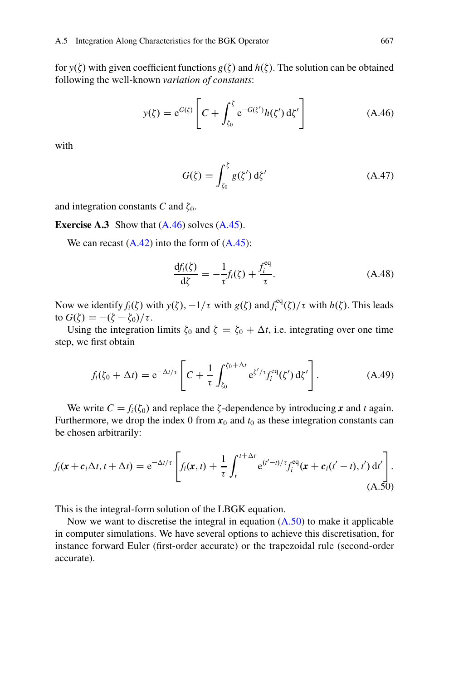for  $y(\zeta)$  with given coefficient functions  $g(\zeta)$  and  $h(\zeta)$ . The solution can be obtained following the well-known *variation of constants*:

<span id="page-14-0"></span>
$$
y(\zeta) = e^{G(\zeta)} \left[ C + \int_{\zeta_0}^{\zeta} e^{-G(\zeta')} h(\zeta') d\zeta' \right]
$$
 (A.46)

with

$$
G(\zeta) = \int_{\zeta_0}^{\zeta} g(\zeta') d\zeta'
$$
 (A.47)

and integration constants C and  $\zeta_0$ .

**Exercise A.3** Show that  $(A.46)$  solves  $(A.45)$ .

We can recast  $(A.42)$  into the form of  $(A.45)$ :

$$
\frac{\mathrm{d}f_i(\zeta)}{\mathrm{d}\zeta} = -\frac{1}{\tau}f_i(\zeta) + \frac{f_i^{\text{eq}}}{\tau}.\tag{A.48}
$$

Now we identify  $f_i(\zeta)$  with  $y(\zeta)$ ,  $-1/\tau$  with  $g(\zeta)$  and  $f_i^{eq}(\zeta)/\tau$  with  $h(\zeta)$ . This leads to  $G(\zeta) = -(\zeta - \zeta_0)/\tau$ to  $G(\zeta) = -(\zeta - \zeta_0)/\tau$ .

Using the integration limits  $\zeta_0$  and  $\zeta = \zeta_0 + \Delta t$ , i.e. integrating over one time step, we first obtain

$$
f_i(\zeta_0 + \Delta t) = e^{-\Delta t/\tau} \left[ C + \frac{1}{\tau} \int_{\zeta_0}^{\zeta_0 + \Delta t} e^{\zeta'/\tau} f_i^{eq}(\zeta') d\zeta' \right].
$$
 (A.49)

We write  $C = f_i(\zeta_0)$  and replace the  $\zeta$ -dependence by introducing *x* and *t* again. Furthermore, we drop the index 0 from  $x_0$  and  $t_0$  as these integration constants can be chosen arbitrarily:

<span id="page-14-1"></span>
$$
f_i(\mathbf{x}+\mathbf{c}_i\Delta t, t+\Delta t) = e^{-\Delta t/\tau}\left[f_i(\mathbf{x},t) + \frac{1}{\tau}\int_t^{t+\Delta t} e^{(t'-t)/\tau}f_i^{eq}(\mathbf{x}+\mathbf{c}_i(t'-t), t') dt'\right].
$$
\n(A.50)

This is the integral-form solution of the LBGK equation.

Now we want to discretise the integral in equation  $(A.50)$  to make it applicable in computer simulations. We have several options to achieve this discretisation, for instance forward Euler (first-order accurate) or the trapezoidal rule (second-order accurate).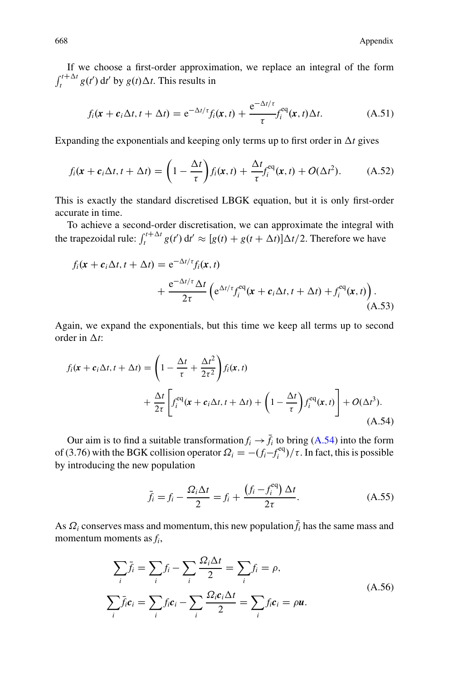If we choose a first-order approximation, we replace an integral of the form  $\int_{t}^{t + \Delta t} g(t') dt'$  by  $g(t) \Delta t$ . This results in

$$
f_i(\mathbf{x} + \mathbf{c}_i \Delta t, t + \Delta t) = e^{-\Delta t/\tau} f_i(\mathbf{x}, t) + \frac{e^{-\Delta t/\tau}}{\tau} f_i^{eq}(\mathbf{x}, t) \Delta t.
$$
 (A.51)

Expanding the exponentials and keeping only terms up to first order in  $\Delta t$  gives

$$
f_i(\mathbf{x} + \mathbf{c}_i \Delta t, t + \Delta t) = \left(1 - \frac{\Delta t}{\tau}\right) f_i(\mathbf{x}, t) + \frac{\Delta t}{\tau} f_i^{\text{eq}}(\mathbf{x}, t) + O(\Delta t^2). \tag{A.52}
$$

This is exactly the standard discretised LBGK equation, but it is only first-order accurate in time.

To achieve a second-order discretisation, we can approximate the integral with the trapezoidal rule:  $\int_{t}^{t+\Delta t} g(t') dt' \approx [g(t) + g(t+\Delta t)]\Delta t/2$ . Therefore we have

$$
f_i(\mathbf{x} + \mathbf{c}_i \Delta t, t + \Delta t) = e^{-\Delta t/\tau} f_i(\mathbf{x}, t)
$$
  
+ 
$$
\frac{e^{-\Delta t/\tau} \Delta t}{2\tau} \left( e^{\Delta t/\tau} f_i^{eq}(\mathbf{x} + \mathbf{c}_i \Delta t, t + \Delta t) + f_i^{eq}(\mathbf{x}, t) \right).
$$
(A.53)

Again, we expand the exponentials, but this time we keep all terms up to second order in  $\Delta t$ :

<span id="page-15-0"></span>
$$
f_i(\mathbf{x} + c_i \Delta t, t + \Delta t) = \left(1 - \frac{\Delta t}{\tau} + \frac{\Delta t^2}{2\tau^2}\right) f_i(\mathbf{x}, t)
$$
  
+ 
$$
\frac{\Delta t}{2\tau} \left[ f_i^{\text{eq}}(\mathbf{x} + c_i \Delta t, t + \Delta t) + \left(1 - \frac{\Delta t}{\tau}\right) f_i^{\text{eq}}(\mathbf{x}, t) \right] + O(\Delta t^3).
$$
(A.54)

Our aim is to find a suitable transformation  $f_i \rightarrow f_i$  to bring [\(A.54\)](#page-15-0) into the form<br>(3.76) with the BGK collision operator  $Q_i = -(f_i - f_i^{eq})/T$ . In fact, this is possible of (3.76) with the BGK collision operator  $\Omega_i = -(f_i - f_i^{\text{eq}})/\tau$ . In fact, this is possible<br>by introducing the new population by introducing the new population

$$
\bar{f}_i = f_i - \frac{\Omega_i \Delta t}{2} = f_i + \frac{\left(f_i - f_i^{\text{eq}}\right) \Delta t}{2\tau}.
$$
\n(A.55)

As  $\Omega_i$  conserves mass and momentum, this new population  $\bar{f}_i$  has the same mass and momentum moments as *fi*,

$$
\sum_{i} \bar{f}_{i} = \sum_{i} f_{i} - \sum_{i} \frac{\Omega_{i} \Delta t}{2} = \sum_{i} f_{i} = \rho,
$$
\n
$$
\sum_{i} \bar{f}_{i} c_{i} = \sum_{i} f_{i} c_{i} - \sum_{i} \frac{\Omega_{i} c_{i} \Delta t}{2} = \sum_{i} f_{i} c_{i} = \rho u.
$$
\n(A.56)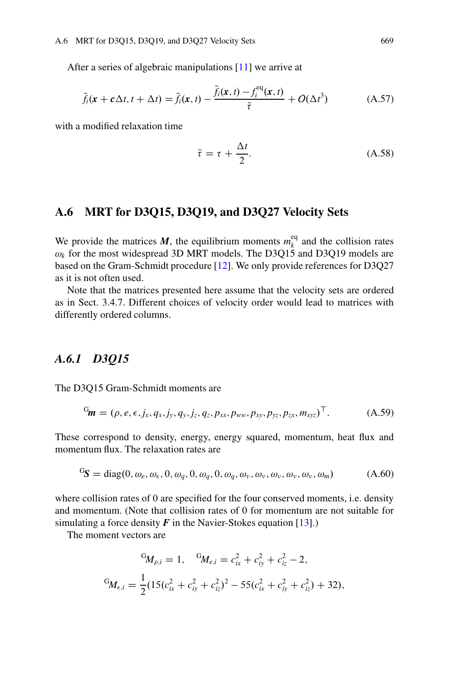After a series of algebraic manipulations [\[11\]](#page-34-5) we arrive at

$$
\bar{f}_i(\mathbf{x} + \mathbf{c}\Delta t, t + \Delta t) = \bar{f}_i(\mathbf{x}, t) - \frac{\bar{f}_i(\mathbf{x}, t) - f_i^{\text{eq}}(\mathbf{x}, t)}{\bar{\tau}} + O(\Delta t^3)
$$
(A.57)

with a modified relaxation time

$$
\bar{\tau} = \tau + \frac{\Delta t}{2}.\tag{A.58}
$$

### <span id="page-16-0"></span>**A.6 MRT for D3Q15, D3Q19, and D3Q27 Velocity Sets**

We provide the matrices  $M$ , the equilibrium moments  $m_k^{eq}$  and the collision rates  $\omega_k$  for the most widespread 3D MRT models. The D3Q15 and D3Q19 models are based on the Gram-Schmidt procedure [\[12\]](#page-34-6). We only provide references for D3Q27 as it is not often used.

Note that the matrices presented here assume that the velocity sets are ordered as in Sect. 3.4.7. Different choices of velocity order would lead to matrices with differently ordered columns.

### <span id="page-16-1"></span>*A.6.1 D3Q15*

The D3Q15 Gram-Schmidt moments are

$$
{}^{G}\mathbf{m} = (\rho, e, \epsilon, j_x, q_x, j_y, q_y, j_z, q_z, p_{xx}, p_{ww}, p_{xy}, p_{yz}, p_{zx}, m_{xyz})^{\top}.
$$
 (A.59)

These correspond to density, energy, energy squared, momentum, heat flux and momentum flux. The relaxation rates are

$$
{}^{\mathcal{G}}\mathbf{S} = \text{diag}(0, \omega_e, \omega_\epsilon, 0, \omega_q, 0, \omega_q, 0, \omega_q, \omega_v, \omega_v, \omega_v, \omega_v, \omega_w, \omega_m)
$$
(A.60)

where collision rates of 0 are specified for the four conserved moments, i.e. density and momentum. (Note that collision rates of 0 for momentum are not suitable for simulating a force density  $F$  in the Navier-Stokes equation [\[13\]](#page-34-7).)

The moment vectors are

$$
{}^{G}\!M_{\rho,i} = 1, \quad {}^{G}\!M_{e,i} = c_{ix}^2 + c_{iy}^2 + c_{iz}^2 - 2,
$$
  

$$
{}^{G}\!M_{\epsilon,i} = \frac{1}{2}(15(c_{ix}^2 + c_{iy}^2 + c_{iz}^2)^2 - 55(c_{ix}^2 + c_{iy}^2 + c_{iz}^2) + 32),
$$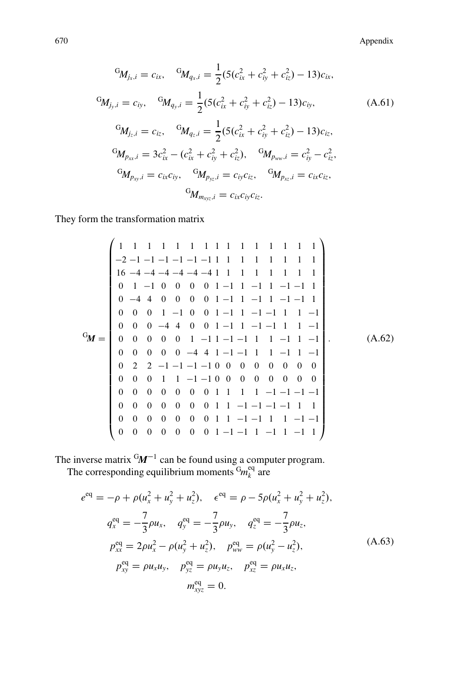670 Appendix

$$
{}^{G}M_{j_x,i} = c_{ix}, \t {}^{G}M_{q_x,i} = \frac{1}{2}(5(c_{ix}^2 + c_{iy}^2 + c_{iz}^2) - 13)c_{ix},
$$
  
\n
$$
{}^{G}M_{j_y,i} = c_{iy}, \t {}^{G}M_{q_y,i} = \frac{1}{2}(5(c_{ix}^2 + c_{iy}^2 + c_{iz}^2) - 13)c_{iy},
$$
  
\n
$$
{}^{G}M_{j_z,i} = c_{iz}, \t {}^{G}M_{q_z,i} = \frac{1}{2}(5(c_{ix}^2 + c_{iy}^2 + c_{iz}^2) - 13)c_{iz},
$$
  
\n
$$
{}^{G}M_{p_{xx},i} = 3c_{ix}^2 - (c_{ix}^2 + c_{iy}^2 + c_{iz}^2), \t {}^{G}M_{p_{ww},i} = c_{iy}^2 - c_{iz}^2,
$$
  
\n
$$
{}^{G}M_{p_{xy},i} = c_{ix}c_{iy}, \t {}^{G}M_{p_{yz},i} = c_{iy}c_{iz}, \t {}^{G}M_{p_{xz},i} = c_{ix}c_{iz},
$$
  
\n
$$
{}^{G}M_{m_{xyz},i} = c_{ix}c_{iy}c_{iz}.
$$

They form the transformation matrix

0 1 1 1 1 1 1 1 111 1 1 1 1 1 1 B C <sup>2</sup> <sup>1</sup> <sup>1</sup> <sup>1</sup> <sup>1</sup> <sup>1</sup> 11 1 1 1 1 1 1 1 B C B C <sup>16</sup> <sup>4</sup> <sup>4</sup> <sup>4</sup> <sup>4</sup> <sup>4</sup> 41 1 1 1 1 1 1 1 B C B C B C 0 1 10 0 0 01 1 1 1 1 <sup>1</sup> 1 1 B C B C <sup>0</sup> 44 0 0 0 01 1 1 1 1 <sup>1</sup> 1 1 B C B C B <sup>0001</sup> 10 01 1 1 <sup>1</sup> 11 1 <sup>1</sup> C B C B C <sup>000</sup> 44 0 01 1 1 <sup>1</sup> 11 1 <sup>1</sup> B C B C <sup>G</sup>*<sup>M</sup>* D : (A.62) <sup>000001</sup> 1 1 <sup>1</sup> 11 1 1 1 <sup>1</sup> B C B C B C <sup>00000</sup> <sup>441</sup> <sup>1</sup> 11 1 1 1 <sup>1</sup> B C B C <sup>022</sup> <sup>1</sup> <sup>1</sup> <sup>1</sup> 10 0 0 0 0 0 0 0 B C B C B <sup>00011</sup> <sup>1</sup> 10 0 0 0 0 0 0 0 C B C B C 0 0 0 0 0 0 011 1 1 <sup>1</sup> <sup>1</sup> <sup>1</sup> <sup>1</sup> B C B C 0 0 0 0 0 0 011 <sup>1</sup> <sup>1</sup> <sup>1</sup> 11 1 B C B C B C 0 0 0 0 0 0 011 <sup>1</sup> 11 1 <sup>1</sup> <sup>1</sup> B C @ A 0 0 0 0 0 0 01 <sup>1</sup> 1 1 1 1 1 1 

The inverse matrix  ${}^{G}\!M^{-1}$  can be found using a computer program.

The corresponding equilibrium moments  ${}^{G}m_k^{eq}$  are

$$
e^{eq} = -\rho + \rho(u_x^2 + u_y^2 + u_z^2), \quad \epsilon^{eq} = \rho - 5\rho(u_x^2 + u_y^2 + u_z^2),
$$
  
\n
$$
q_x^{eq} = -\frac{7}{3}\rho u_x, \quad q_y^{eq} = -\frac{7}{3}\rho u_y, \quad q_z^{eq} = -\frac{7}{3}\rho u_z,
$$
  
\n
$$
p_{xx}^{eq} = 2\rho u_x^2 - \rho(u_y^2 + u_z^2), \quad p_{ww}^{eq} = \rho(u_y^2 - u_z^2),
$$
  
\n
$$
p_{xy}^{eq} = \rho u_x u_y, \quad p_{yz}^{eq} = \rho u_y u_z, \quad p_{xz}^{eq} = \rho u_x u_z,
$$
  
\n
$$
m_{xyz}^{eq} = 0.
$$
  
\n(A.63)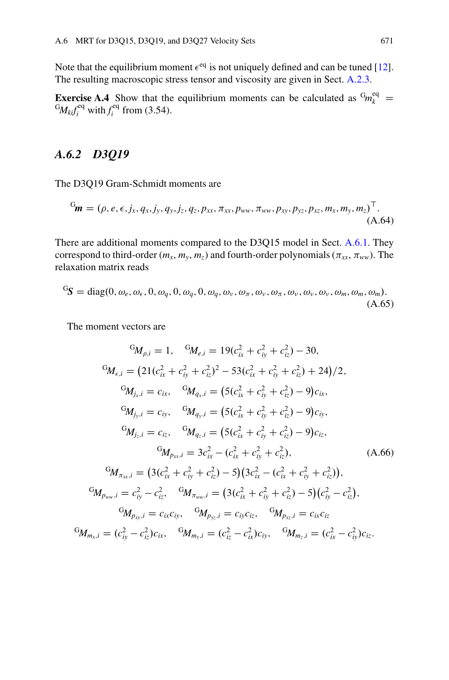Note that the equilibrium moment  $\epsilon^{eq}$  is not uniquely defined and can be tuned [\[12\]](#page-34-6). The resulting macroscopic stress tensor and viscosity are given in Sect. [A.2.3.](#page-5-1)

**Exercise A.4** Show that the equilibrium moments can be calculated as  ${}^{G}m_k^{eq}$  =  ${}^G M_{ki} f_i^{eq}$  with  $f_i^{eq}$  from (3.54).

### *A.6.2 D3Q19*

The D3Q19 Gram-Schmidt moments are

$$
{}^{G}\mathbf{m} = (\rho, e, \epsilon, j_x, q_x, j_y, q_y, j_z, q_z, p_{xx}, \pi_{xx}, p_{ww}, \pi_{ww}, p_{xy}, p_{yz}, p_{xz}, m_x, m_y, m_z)^\top. \tag{A.64}
$$

There are additional moments compared to the D3Q15 model in Sect. [A.6.1.](#page-16-1) They correspond to third-order  $(m_x, m_y, m_z)$  and fourth-order polynomials  $(\pi_{xx}, \pi_{ww})$ . The relaxation matrix reads

$$
{}^{G}\mathbf{S} = \text{diag}(0, \omega_e, \omega_\epsilon, 0, \omega_q, 0, \omega_q, 0, \omega_q, \omega_\nu, \omega_\pi, \omega_\nu, \omega_\pi, \omega_\nu, \omega_\nu, \omega_\nu, \omega_m, \omega_m, \omega_m).
$$
\n(A.65)

The moment vectors are

$$
{}^{G}\!M_{\rho,i} = 1, \quad {}^{G}\!M_{e,i} = 19(c_{ix}^{2} + c_{iy}^{2} + c_{iz}^{2}) - 30,
$$
\n
$$
{}^{G}\!M_{\epsilon,i} = (21(c_{ix}^{2} + c_{iy}^{2} + c_{iz}^{2})^{2} - 53(c_{ix}^{2} + c_{iy}^{2} + c_{iz}^{2}) + 24)/2,
$$
\n
$$
{}^{G}\!M_{j_{x},i} = c_{ix}, \quad {}^{G}\!M_{q_{x},i} = (5(c_{ix}^{2} + c_{iy}^{2} + c_{iz}^{2}) - 9)c_{ix},
$$
\n
$$
{}^{G}\!M_{j_{y},i} = c_{iy}, \quad {}^{G}\!M_{q_{y},i} = (5(c_{ix}^{2} + c_{iy}^{2} + c_{iz}^{2}) - 9)c_{iy},
$$
\n
$$
{}^{G}\!M_{j_{z},i} = c_{iz}, \quad {}^{G}\!M_{q_{z},i} = (5(c_{ix}^{2} + c_{iy}^{2} + c_{iz}^{2}) - 9)c_{iz},
$$
\n
$$
{}^{G}\!M_{p_{xx},i} = 3c_{ix}^{2} - (c_{ix}^{2} + c_{iy}^{2} + c_{iz}^{2}), \quad (A.66)
$$
\n
$$
{}^{G}\!M_{\pi_{xx},i} = (3(c_{ix}^{2} + c_{iy}^{2} + c_{iz}^{2}) - 5)(3c_{ix}^{2} - (c_{ix}^{2} + c_{iy}^{2} + c_{iz}^{2})),
$$
\n
$$
{}^{G}\!M_{p_{ww},i} = c_{iy}^{2} - c_{iz}^{2}, \quad {}^{G}\!M_{\pi_{ww},i} = (3(c_{ix}^{2} + c_{iy}^{2} + c_{iz}^{2}) - 5)(c_{iy}^{2} - c_{iz}^{2}),
$$
\n
$$
{}^{G}\!M_{p_{ww},i} = c_{ix}c_{iy}, \quad {}^{G}\!M_{p_{yz},i} = c_{iy}c_{iz}, \quad {}^{G}\!M_{p_{xz},i} = c_{ix}c_{iz}
$$
\n
$$
{}^{G}\!M_{m_{x},i} = (c_{iy}^{2} - c_{iz}^{2})c_{ix}, \quad {}^{G}\!M_{m_{y},
$$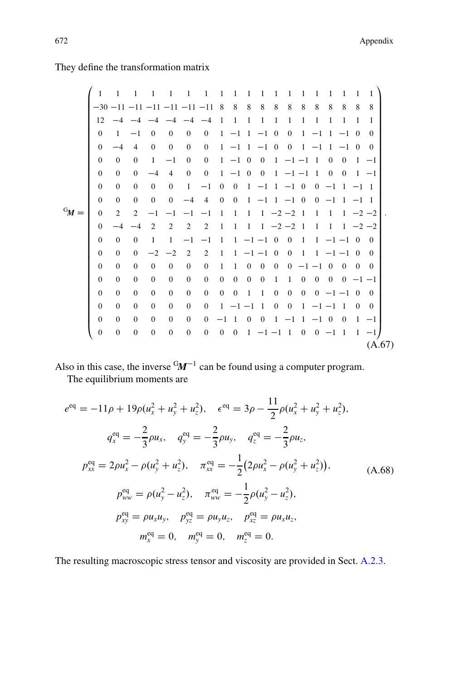They define the transformation matrix

|             | -1           | - 1                                   | $\overline{1}$ | $\overline{1}$ | $\blacksquare$ | $\overline{1}$ | $\overline{1}$ | $\overline{1}$ | -1             | 1              | 1              | 1              | 1                                                                              | 1              | 1              | 1              | 1                             | 1            | 1        |
|-------------|--------------|---------------------------------------|----------------|----------------|----------------|----------------|----------------|----------------|----------------|----------------|----------------|----------------|--------------------------------------------------------------------------------|----------------|----------------|----------------|-------------------------------|--------------|----------|
|             |              | $-30$ $-11$ $-11$ $-11$ $-11$ $-11$ 8 |                |                |                |                |                |                | 8              | 8              | 8              | 8              | 8                                                                              | 8              | 8              | 8              | 8                             | 8            | 8        |
|             | 12           | $-4$                                  | $-4$           | -4             | $-4$           | -4             | $-4$           | -1             | 1              | 1              | 1              | 1              | 1                                                                              | 1              | 1              | 1              | 1                             | 1            | 1        |
|             | $\theta$     | $\mathbf{1}$                          | $-1$           | $\Omega$       | $\Omega$       | $\Omega$       | $\overline{0}$ |                |                |                | $1 -1 1 -1 0$  |                | $\mathbf{0}$                                                                   | 1              | $-1$ 1         |                | $-1\quad0$                    |              | 0        |
|             | $\Omega$     | $-4$                                  | $\overline{4}$ | $\theta$       | $\Omega$       | $\overline{0}$ | $\overline{0}$ |                | $1 -1 1$       |                | $-1\quad0$     |                | $\overline{0}$                                                                 |                | $1 -1 1$       |                | $-1 \quad 0$                  |              | $\Omega$ |
|             | $\Omega$     | $\theta$                              | $\Omega$       | 1              | $-1$           | $\Omega$       | $\overline{0}$ |                | $1 -1 0$       |                | $\mathbf{0}$   |                | $1 -1 -1$                                                                      |                | $\overline{1}$ | $\Omega$       | $\Omega$                      | $\mathbf{1}$ | $-1$     |
|             | $\theta$     | $\Omega$                              | $\overline{0}$ | $-4$           | 4              | $\overline{0}$ | $\overline{0}$ |                | $1 -1 0$       |                |                |                | $0 \t1 \t-1 \t-1 \t1$                                                          |                |                | $\overline{0}$ | $\overline{0}$                | $1 -1$       |          |
|             | $\theta$     | $\Omega$                              | $\Omega$       | $\mathbf{0}$   | $\Omega$       | 1              | $-1$           | $\overline{0}$ | $\overline{0}$ |                |                |                | $1 -1 1 -1 0 0 -1 1 -1 1$                                                      |                |                |                |                               |              |          |
|             | $\theta$     | $\Omega$                              | $\mathbf{0}$   | $\overline{0}$ | $\mathbf{0}$   | $-4$           | $\overline{4}$ | $\overline{0}$ | $\bf{0}$       |                |                |                | $1 -1 1 -1 0$                                                                  |                |                |                | $0 -1 1 -1 1$                 |              |          |
| ${}^G\!M =$ | $\Omega$     | 2                                     | 2              | $-1$           | $-1$           | $-1$           | $-1$           | -1             | 1              | 1              |                |                | $1 -2 -2 1$                                                                    |                | 1              | 1              |                               | $1 -2 -2$    |          |
|             | $\Omega$     | $-4$                                  | $-4$           | 2              | 2              | 2              | 2              | 1              | $\mathbf{1}$   | -1             |                |                | $1 -2 -2 1$                                                                    |                | 1              |                | $1 \quad 1 \quad -2 \quad -2$ |              |          |
|             | $\Omega$     | $\theta$                              | $\Omega$       | $\mathbf{1}$   | $\mathbf{1}$   | $-1$           | $-1$           | $\overline{1}$ |                |                | $1 -1 -1 0$    |                | $\theta$                                                                       | $\overline{1}$ | $\mathbf{1}$   |                | $-1$ $-1$ 0                   |              | $\theta$ |
|             | $\theta$     | $\theta$                              | $\mathbf{0}$   | $-2$           | $-2$           | 2              | 2              | 1              |                |                | $1 -1 -1 0$    |                | $\mathbf{0}$                                                                   | 1              |                |                | $1 -1 -1 0$                   |              | $\theta$ |
|             | $\theta$     | $\Omega$                              | $\Omega$       | $\theta$       | $\theta$       | $\Omega$       | $\overline{0}$ | $\mathbf{1}$   | 1              | $\mathbf{0}$   | $\mathbf{0}$   | $\overline{0}$ |                                                                                |                | $0 -1 -1 0$    |                | $\Omega$                      | $\theta$     | $\Omega$ |
|             | $\theta$     | $\Omega$                              | $\theta$       | $\theta$       | $\theta$       | $\overline{0}$ | $\overline{0}$ | $\overline{0}$ | $\overline{0}$ | $\overline{0}$ | $\mathbf{0}$   | -1             | 1                                                                              | $\overline{0}$ | $\overline{0}$ |                | $0 \t 0 \t -1 \t -1$          |              |          |
|             | $\mathbf{0}$ | $\mathbf{0}$                          | $\mathbf{0}$   | $\mathbf{0}$   | $\mathbf{0}$   | $\overline{0}$ | $\overline{0}$ | $\overline{0}$ | $\bf{0}$       | $\overline{1}$ | $\overline{1}$ | $\overline{0}$ | $\mathbf{0}$                                                                   |                |                |                | $0 \t 0 \t -1 \t -1 \t 0$     |              | $\theta$ |
|             | $\mathbf{0}$ | $\mathbf{0}$                          | $\mathbf{0}$   | $\overline{0}$ | $\mathbf{0}$   | $\overline{0}$ | $\overline{0}$ |                | $1 -1 -1 1$    |                |                | $\overline{0}$ | $\overline{0}$                                                                 |                |                | $1 -1 -1$      | - 1                           | $\theta$     | $\Omega$ |
|             | $\mathbf{0}$ | $\theta$                              | $\mathbf{0}$   | $\mathbf{0}$   | $\mathbf{0}$   | $\overline{0}$ |                |                |                |                |                |                | $0 \quad -1 \quad 1 \quad 0 \quad 0 \quad 1 \quad -1 \quad 1 \quad -1 \quad 0$ |                |                |                | $\overline{0}$                |              | $1 -1$   |
|             | $\mathbf{0}$ | $\mathbf{0}$                          | $\mathbf{0}$   | $\mathbf{0}$   | $\mathbf{0}$   | $\overline{0}$ | $\overline{0}$ |                |                |                |                |                | $0 \t 0 \t 1 \t -1 \t -1 \t 1 \t 0 \t 0 \t -1$                                 |                |                |                | - 1                           | -1           | $-1$     |
|             |              |                                       |                |                |                |                |                |                |                |                |                |                |                                                                                |                |                |                |                               |              | (A.67)   |

Also in this case, the inverse  ${}^{G}\!M^{-1}$  can be found using a computer program.

The equilibrium moments are

$$
e^{eq} = -11\rho + 19\rho(u_x^2 + u_y^2 + u_z^2), \quad e^{eq} = 3\rho - \frac{11}{2}\rho(u_x^2 + u_y^2 + u_z^2),
$$
  
\n
$$
q_x^{eq} = -\frac{2}{3}\rho u_x, \quad q_y^{eq} = -\frac{2}{3}\rho u_y, \quad q_z^{eq} = -\frac{2}{3}\rho u_z,
$$
  
\n
$$
p_{xx}^{eq} = 2\rho u_x^2 - \rho(u_y^2 + u_z^2), \quad \pi_{xx}^{eq} = -\frac{1}{2}(2\rho u_x^2 - \rho(u_y^2 + u_z^2)),
$$
  
\n
$$
p_{ww}^{eq} = \rho(u_y^2 - u_z^2), \quad \pi_{ww}^{eq} = -\frac{1}{2}\rho(u_y^2 - u_z^2),
$$
  
\n
$$
p_{xy}^{eq} = \rho u_x u_y, \quad p_{yz}^{eq} = \rho u_y u_z, \quad p_{xz}^{eq} = \rho u_x u_z,
$$
  
\n
$$
m_x^{eq} = 0, \quad m_y^{eq} = 0, \quad m_z^{eq} = 0.
$$

The resulting macroscopic stress tensor and viscosity are provided in Sect. [A.2.3.](#page-5-1)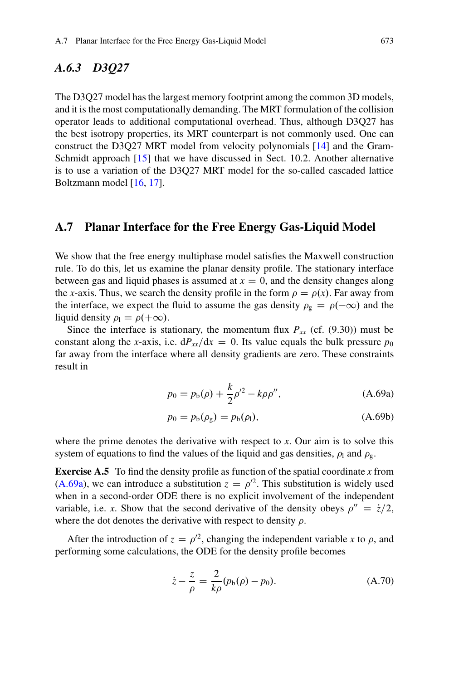### *A.6.3 D3Q27*

The D3Q27 model has the largest memory footprint among the common 3D models, and it is the most computationally demanding. The MRT formulation of the collision operator leads to additional computational overhead. Thus, although D3Q27 has the best isotropy properties, its MRT counterpart is not commonly used. One can construct the D3Q27 MRT model from velocity polynomials [\[14\]](#page-34-8) and the Gram-Schmidt approach [\[15\]](#page-34-9) that we have discussed in Sect. 10.2. Another alternative is to use a variation of the D3Q27 MRT model for the so-called cascaded lattice Boltzmann model [\[16,](#page-34-10) [17\]](#page-34-11).

#### <span id="page-20-1"></span>**A.7 Planar Interface for the Free Energy Gas-Liquid Model**

We show that the free energy multiphase model satisfies the Maxwell construction rule. To do this, let us examine the planar density profile. The stationary interface between gas and liquid phases is assumed at  $x = 0$ , and the density changes along the *x*-axis. Thus, we search the density profile in the form  $\rho = \rho(x)$ . Far away from the interface, we expect the fluid to assume the gas density  $\rho_{\rm g} = \rho(-\infty)$  and the liquid density  $\rho_1 = \rho(+\infty)$ .

Since the interface is stationary, the momentum flux  $P_{xx}$  (cf. (9.30)) must be constant along the *x*-axis, i.e.  $dP_{xx}/dx = 0$ . Its value equals the bulk pressure  $p_0$ far away from the interface where all density gradients are zero. These constraints result in

<span id="page-20-0"></span>
$$
p_0 = p_b(\rho) + \frac{k}{2}\rho^2 - k\rho\rho'', \tag{A.69a}
$$

$$
p_0 = p_b(\rho_g) = p_b(\rho_l),
$$
 (A.69b)

where the prime denotes the derivative with respect to  $x$ . Our aim is to solve this system of equations to find the values of the liquid and gas densities,  $\rho_1$  and  $\rho_g$ .

**Exercise A.5** To find the density profile as function of the spatial coordinate *x* from [\(A.69a\)](#page-20-0), we can introduce a substitution  $z = \rho^2$ . This substitution is widely used when in a second-order ODE there is no explicit involvement of the independent variable, i.e. *x*. Show that the second derivative of the density obeys  $\rho'' = \dot{z}/2$ , where the dot denotes the derivative with respect to density  $\rho$ .

After the introduction of  $z = \rho^2$ , changing the independent variable *x* to  $\rho$ , and performing some calculations, the ODE for the density profile becomes

$$
\dot{z} - \frac{z}{\rho} = \frac{2}{k\rho} (p_b(\rho) - p_0).
$$
 (A.70)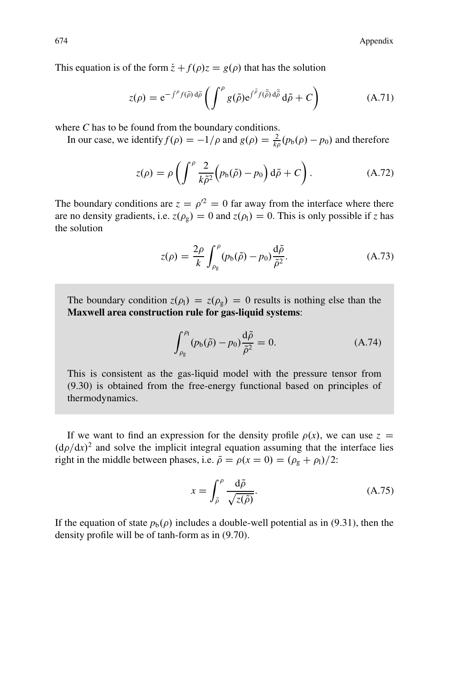This equation is of the form  $\dot{z} + f(\rho)z = g(\rho)$  that has the solution

$$
z(\rho) = e^{-\int^{\rho} f(\tilde{\rho}) d\tilde{\rho}} \left( \int^{\rho} g(\tilde{\rho}) e^{\int^{\tilde{\rho}} f(\tilde{\rho}) d\tilde{\rho}} d\tilde{\rho} + C \right)
$$
 (A.71)

where *C* has to be found from the boundary conditions.

In our case, we identify  $f(\rho) = -1/\rho$  and  $g(\rho) = \frac{2}{k\rho}(p_b(\rho) - p_0)$  and therefore

$$
z(\rho) = \rho \left( \int^{\rho} \frac{2}{k \tilde{\rho}^2} \Big( p_b(\tilde{\rho}) - p_0 \Big) d\tilde{\rho} + C \right). \tag{A.72}
$$

The boundary conditions are  $z = \rho^2 = 0$  far away from the interface where there are no density gradients, i.e.  $z(\rho_g) = 0$  and  $z(\rho_l) = 0$ . This is only possible if *z* has the solution

$$
z(\rho) = \frac{2\rho}{k} \int_{\rho_{g}}^{\rho} (p_b(\tilde{\rho}) - p_0) \frac{d\tilde{\rho}}{\tilde{\rho}^2}.
$$
 (A.73)

The boundary condition  $z(\rho_1) = z(\rho_g) = 0$  results is nothing else than the **Maxwell area construction rule for gas-liquid systems**:

$$
\int_{\rho_{g}}^{\rho_{l}} (p_b(\tilde{\rho}) - p_0) \frac{d\tilde{\rho}}{\tilde{\rho}^2} = 0.
$$
 (A.74)

This is consistent as the gas-liquid model with the pressure tensor from (9.30) is obtained from the free-energy functional based on principles of thermodynamics.

If we want to find an expression for the density profile  $\rho(x)$ , we can use  $z =$  $(d\rho/dx)^2$  and solve the implicit integral equation assuming that the interface lies right in the middle between phases, i.e.  $\bar{\rho} = \rho(x = 0) = (\rho_g + \rho_l)/2$ :

$$
x = \int_{\bar{\rho}}^{\rho} \frac{\mathrm{d}\tilde{\rho}}{\sqrt{z(\tilde{\rho})}}.\tag{A.75}
$$

If the equation of state  $p_b(\rho)$  includes a double-well potential as in (9.31), then the density profile will be of tanh-form as in (9.70).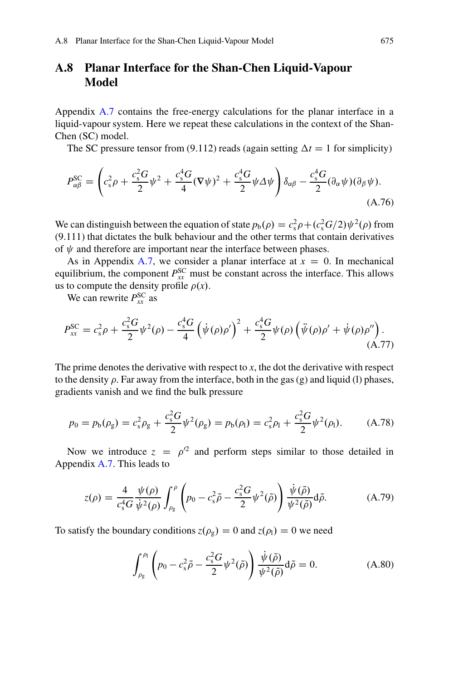### **A.8 Planar Interface for the Shan-Chen Liquid-Vapour Model**

Appendix [A.7](#page-20-1) contains the free-energy calculations for the planar interface in a liquid-vapour system. Here we repeat these calculations in the context of the Shan-Chen (SC) model.

The SC pressure tensor from (9.112) reads (again setting  $\Delta t = 1$  for simplicity)

$$
P_{\alpha\beta}^{\rm SC} = \left(c_s^2 \rho + \frac{c_s^2 G}{2} \psi^2 + \frac{c_s^4 G}{4} (\nabla \psi)^2 + \frac{c_s^4 G}{2} \psi \Delta \psi\right) \delta_{\alpha\beta} - \frac{c_s^4 G}{2} (\partial_\alpha \psi) (\partial_\beta \psi).
$$
\n(A.76)

We can distinguish between the equation of state  $p_b(\rho) = c_s^2 \rho + (c_s^2 G/2) \psi^2(\rho)$  from<br>(9.111) that dictates the bulk behaviour and the other terms that contain derivatives (9.111) that dictates the bulk behaviour and the other terms that contain derivatives of  $\psi$  and therefore are important near the interface between phases.

As in Appendix [A.7,](#page-20-1) we consider a planar interface at  $x = 0$ . In mechanical equilibrium, the component  $P_{xx}^{SC}$  must be constant across the interface. This allows us to compute the density profile  $\rho(x)$ .

We can rewrite  $P_{xx}^{SC}$  as

$$
P_{xx}^{SC} = c_s^2 \rho + \frac{c_s^2 G}{2} \psi^2(\rho) - \frac{c_s^4 G}{4} (\dot{\psi}(\rho) \rho')^2 + \frac{c_s^4 G}{2} \psi(\rho) (\ddot{\psi}(\rho) \rho' + \dot{\psi}(\rho) \rho'') .
$$
\n(A.77)

The prime denotes the derivative with respect to  $x$ , the dot the derivative with respect to the density  $\rho$ . Far away from the interface, both in the gas (g) and liquid (l) phases, gradients vanish and we find the bulk pressure

$$
p_0 = p_b(\rho_g) = c_s^2 \rho_g + \frac{c_s^2 G}{2} \psi^2(\rho_g) = p_b(\rho_l) = c_s^2 \rho_l + \frac{c_s^2 G}{2} \psi^2(\rho_l). \tag{A.78}
$$

Now we introduce  $z = \rho^2$  and perform steps similar to those detailed in Appendix [A.7.](#page-20-1) This leads to

$$
z(\rho) = \frac{4}{c_s^4 G} \frac{\psi(\rho)}{\dot{\psi}^2(\rho)} \int_{\rho_g}^{\rho} \left( p_0 - c_s^2 \tilde{\rho} - \frac{c_s^2 G}{2} \psi^2(\tilde{\rho}) \right) \frac{\dot{\psi}(\tilde{\rho})}{\psi^2(\tilde{\rho})} d\tilde{\rho}.
$$
 (A.79)

To satisfy the boundary conditions  $z(\rho_g) = 0$  and  $z(\rho_1) = 0$  we need

$$
\int_{\rho_{g}}^{\rho_{l}} \left( p_{0} - c_{s}^{2} \tilde{\rho} - \frac{c_{s}^{2} G}{2} \psi^{2}(\tilde{\rho}) \right) \frac{\dot{\psi}(\tilde{\rho})}{\psi^{2}(\tilde{\rho})} d\tilde{\rho} = 0.
$$
 (A.80)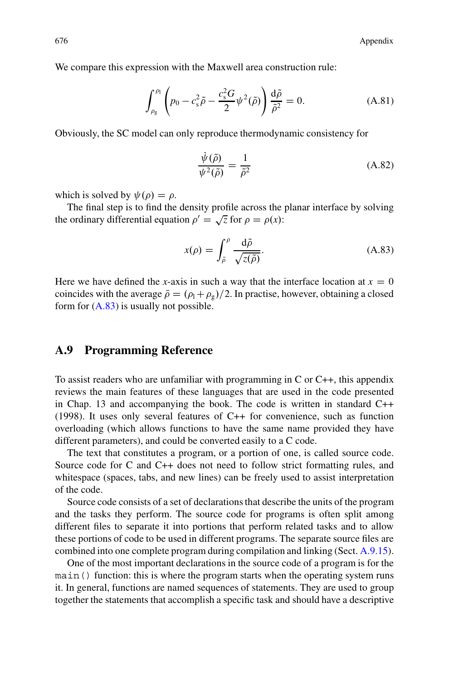We compare this expression with the Maxwell area construction rule:

$$
\int_{\rho_{g}}^{\rho_{l}} \left( p_0 - c_s^2 \tilde{\rho} - \frac{c_s^2 G}{2} \psi^2(\tilde{\rho}) \right) \frac{d\tilde{\rho}}{\tilde{\rho}^2} = 0.
$$
 (A.81)

Obviously, the SC model can only reproduce thermodynamic consistency for

$$
\frac{\dot{\psi}(\tilde{\rho})}{\psi^2(\tilde{\rho})} = \frac{1}{\tilde{\rho}^2} \tag{A.82}
$$

which is solved by  $\psi(\rho) = \rho$ .

The final step is to find the density profile across the planar interface by solving the ordinary differential equation  $\rho' = \sqrt{z}$  for  $\rho = \rho(x)$ :

<span id="page-23-0"></span>
$$
x(\rho) = \int_{\tilde{\rho}}^{\rho} \frac{\mathrm{d}\tilde{\rho}}{\sqrt{z(\tilde{\rho})}}.
$$
 (A.83)

Here we have defined the *x*-axis in such a way that the interface location at  $x = 0$ coincides with the average  $\bar{\rho} = (\rho_1 + \rho_2)/2$ . In practise, however, obtaining a closed form for  $(A.83)$  is usually not possible.

#### **A.9 Programming Reference**

To assist readers who are unfamiliar with programming in C or C++, this appendix reviews the main features of these languages that are used in the code presented in Chap. 13 and accompanying the book. The code is written in standard C++ (1998). It uses only several features of C++ for convenience, such as function overloading (which allows functions to have the same name provided they have different parameters), and could be converted easily to a C code.

The text that constitutes a program, or a portion of one, is called source code. Source code for C and C++ does not need to follow strict formatting rules, and whitespace (spaces, tabs, and new lines) can be freely used to assist interpretation of the code.

Source code consists of a set of declarations that describe the units of the program and the tasks they perform. The source code for programs is often split among different files to separate it into portions that perform related tasks and to allow these portions of code to be used in different programs. The separate source files are combined into one complete program during compilation and linking (Sect. [A.9.15\)](#page-32-0).

One of the most important declarations in the source code of a program is for the main() function: this is where the program starts when the operating system runs it. In general, functions are named sequences of statements. They are used to group together the statements that accomplish a specific task and should have a descriptive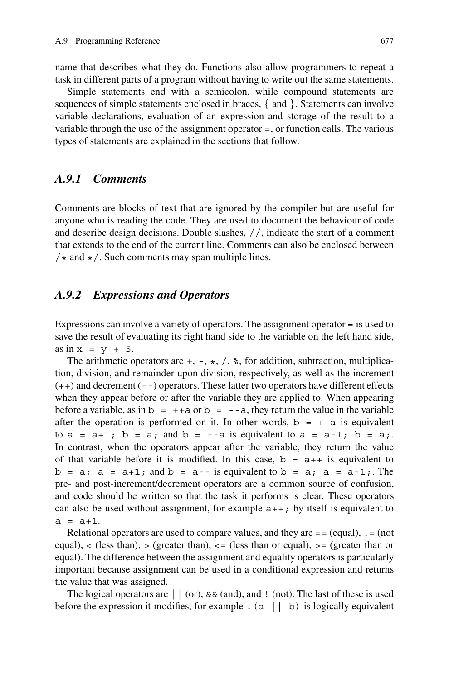name that describes what they do. Functions also allow programmers to repeat a task in different parts of a program without having to write out the same statements.

Simple statements end with a semicolon, while compound statements are sequences of simple statements enclosed in braces, { and }. Statements can involve variable declarations, evaluation of an expression and storage of the result to a variable through the use of the assignment operator =, or function calls. The various types of statements are explained in the sections that follow.

### *A.9.1 Comments*

Comments are blocks of text that are ignored by the compiler but are useful for anyone who is reading the code. They are used to document the behaviour of code and describe design decisions. Double slashes, //, indicate the start of a comment that extends to the end of the current line. Comments can also be enclosed between  $/*$  and  $*/$ . Such comments may span multiple lines.

### *A.9.2 Expressions and Operators*

Expressions can involve a variety of operators. The assignment operator = is used to save the result of evaluating its right hand side to the variable on the left hand side, as in  $x = y + 5$ .

The arithmetic operators are  $+$ ,  $-$ ,  $*$ ,  $/$ ,  $*$ , for addition, subtraction, multiplication, division, and remainder upon division, respectively, as well as the increment  $(++)$  and decrement  $(--)$  operators. These latter two operators have different effects when they appear before or after the variable they are applied to. When appearing before a variable, as in  $b = +a$  or  $b = -a$ , they return the value in the variable after the operation is performed on it. In other words,  $b = ++a$  is equivalent to  $a = a+1$ ;  $b = a$ ; and  $b = -a$  is equivalent to  $a = a-1$ ;  $b = a$ ; In contrast, when the operators appear after the variable, they return the value of that variable before it is modified. In this case,  $b = a++$  is equivalent to  $b = a$ ;  $a = a+1$ ; and  $b = a--$  is equivalent to  $b = a$ ;  $a = a-1$ ; The pre- and post-increment/decrement operators are a common source of confusion, and code should be written so that the task it performs is clear. These operators can also be used without assignment, for example  $a++$ ; by itself is equivalent to  $a = a + 1.$ 

Relational operators are used to compare values, and they are  $==(\text{equal})$ ,  $!=$  (not equal),  $\langle$  (less than),  $\rangle$  (greater than),  $\langle$  = (less than or equal),  $\rangle$  = (greater than or equal). The difference between the assignment and equality operators is particularly important because assignment can be used in a conditional expression and returns the value that was assigned.

The logical operators are  $|| (or), \&& (and),$  and  $\vdots$  (not). The last of these is used before the expression it modifies, for example  $:(a \mid | b)$  is logically equivalent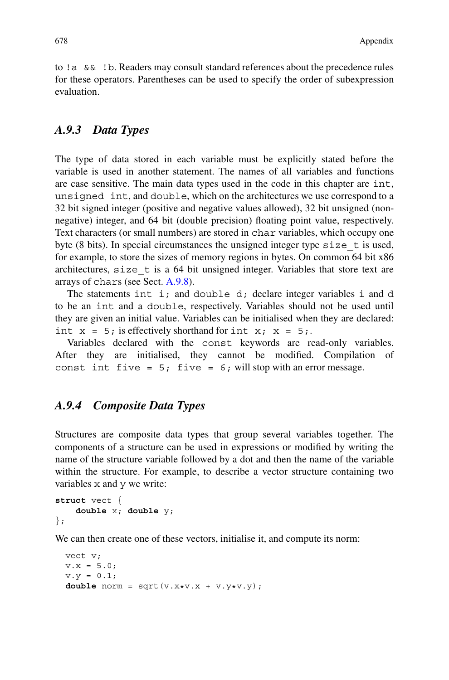to !a && !b. Readers may consult standard references about the precedence rules for these operators. Parentheses can be used to specify the order of subexpression evaluation.

### *A.9.3 Data Types*

The type of data stored in each variable must be explicitly stated before the variable is used in another statement. The names of all variables and functions are case sensitive. The main data types used in the code in this chapter are int, unsigned int, and double, which on the architectures we use correspond to a 32 bit signed integer (positive and negative values allowed), 32 bit unsigned (nonnegative) integer, and 64 bit (double precision) floating point value, respectively. Text characters (or small numbers) are stored in char variables, which occupy one byte (8 bits). In special circumstances the unsigned integer type  $size$  t is used, for example, to store the sizes of memory regions in bytes. On common 64 bit x86 architectures,  $size t$  is a 64 bit unsigned integer. Variables that store text are arrays of chars (see Sect. [A.9.8\)](#page-28-0).

The statements int i; and double d; declare integer variables i and d to be an int and a double, respectively. Variables should not be used until they are given an initial value. Variables can be initialised when they are declared: int  $x = 5$ ; is effectively shorthand for int  $x$ ;  $x = 5$ ;

Variables declared with the const keywords are read-only variables. After they are initialised, they cannot be modified. Compilation of const int five =  $5$ ; five =  $6$ ; will stop with an error message.

#### *A.9.4 Composite Data Types*

Structures are composite data types that group several variables together. The components of a structure can be used in expressions or modified by writing the name of the structure variable followed by a dot and then the name of the variable within the structure. For example, to describe a vector structure containing two variables x and y we write:

```
struct vect {
    double x; double y;
};
```
We can then create one of these vectors, initialise it, and compute its norm:

```
vect v;
v \cdot x = 5.0;
v. y = 0.1;double norm = sqrt(v.x*v.x + v.y*v.y);
```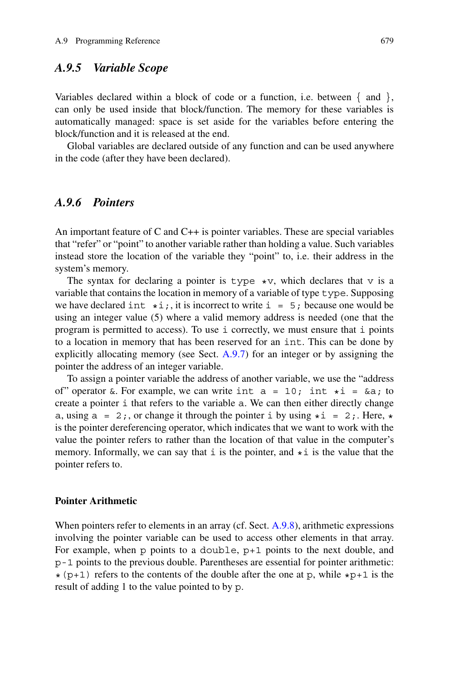#### *A.9.5 Variable Scope*

Variables declared within a block of code or a function, i.e. between  $\{$  and  $\}$ , can only be used inside that block/function. The memory for these variables is automatically managed: space is set aside for the variables before entering the block/function and it is released at the end.

Global variables are declared outside of any function and can be used anywhere in the code (after they have been declared).

#### *A.9.6 Pointers*

An important feature of C and C++ is pointer variables. These are special variables that "refer" or "point" to another variable rather than holding a value. Such variables instead store the location of the variable they "point" to, i.e. their address in the system's memory.

The syntax for declaring a pointer is type  $\star v$ , which declares that v is a variable that contains the location in memory of a variable of type type. Supposing we have declared int  $\star i$ ;, it is incorrect to write  $i = 5$ ; because one would be using an integer value (5) where a valid memory address is needed (one that the program is permitted to access). To use i correctly, we must ensure that i points to a location in memory that has been reserved for an int. This can be done by explicitly allocating memory (see Sect. [A.9.7\)](#page-27-0) for an integer or by assigning the pointer the address of an integer variable.

To assign a pointer variable the address of another variable, we use the "address of" operator &. For example, we can write int  $a = 10$ ; int  $\star i = \&a$ ; to create a pointer  $\pm$  that refers to the variable a. We can then either directly change a, using  $a = 2$ ;, or change it through the pointer i by using  $\star i = 2$ ; Here,  $\star$ is the pointer dereferencing operator, which indicates that we want to work with the value the pointer refers to rather than the location of that value in the computer's memory. Informally, we can say that i is the pointer, and  $\star$  i is the value that the pointer refers to.

#### **Pointer Arithmetic**

When pointers refer to elements in an array (cf. Sect. [A.9.8\)](#page-28-0), arithmetic expressions involving the pointer variable can be used to access other elements in that array. For example, when p points to a double, p+1 points to the next double, and p-1 points to the previous double. Parentheses are essential for pointer arithmetic:  $*(p+1)$  refers to the contents of the double after the one at p, while  $*p+1$  is the result of adding 1 to the value pointed to by p.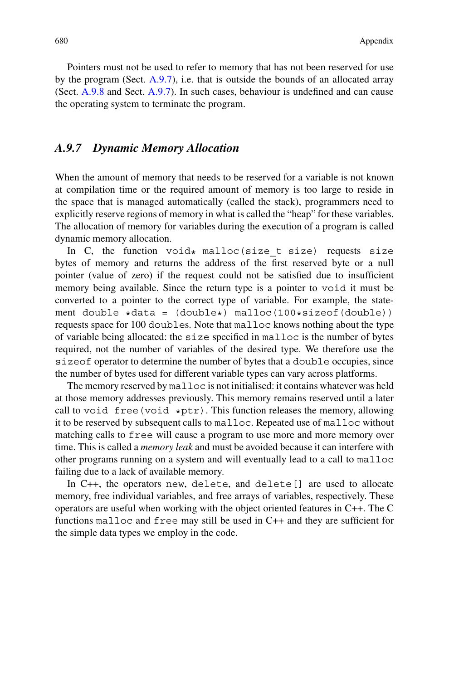Pointers must not be used to refer to memory that has not been reserved for use by the program (Sect. [A.9.7\)](#page-27-0), i.e. that is outside the bounds of an allocated array (Sect. [A.9.8](#page-28-0) and Sect. [A.9.7\)](#page-27-0). In such cases, behaviour is undefined and can cause the operating system to terminate the program.

#### <span id="page-27-0"></span>*A.9.7 Dynamic Memory Allocation*

When the amount of memory that needs to be reserved for a variable is not known at compilation time or the required amount of memory is too large to reside in the space that is managed automatically (called the stack), programmers need to explicitly reserve regions of memory in what is called the "heap" for these variables. The allocation of memory for variables during the execution of a program is called dynamic memory allocation.

In C, the function void\* malloc(size t size) requests size bytes of memory and returns the address of the first reserved byte or a null pointer (value of zero) if the request could not be satisfied due to insufficient memory being available. Since the return type is a pointer to void it must be converted to a pointer to the correct type of variable. For example, the statement double  $\star$ data = (double $\star$ ) malloc(100 $\star$ sizeof(double)) requests space for 100 doubles. Note that malloc knows nothing about the type of variable being allocated: the size specified in malloc is the number of bytes required, not the number of variables of the desired type. We therefore use the sizeof operator to determine the number of bytes that a double occupies, since the number of bytes used for different variable types can vary across platforms.

The memory reserved by malloc is not initialised: it contains whatever was held at those memory addresses previously. This memory remains reserved until a later call to void free (void  $*ptr$ ). This function releases the memory, allowing it to be reserved by subsequent calls to malloc. Repeated use of malloc without matching calls to free will cause a program to use more and more memory over time. This is called a *memory leak* and must be avoided because it can interfere with other programs running on a system and will eventually lead to a call to malloc failing due to a lack of available memory.

In C++, the operators new, delete, and delete[] are used to allocate memory, free individual variables, and free arrays of variables, respectively. These operators are useful when working with the object oriented features in C++. The C functions malloc and free may still be used in C++ and they are sufficient for the simple data types we employ in the code.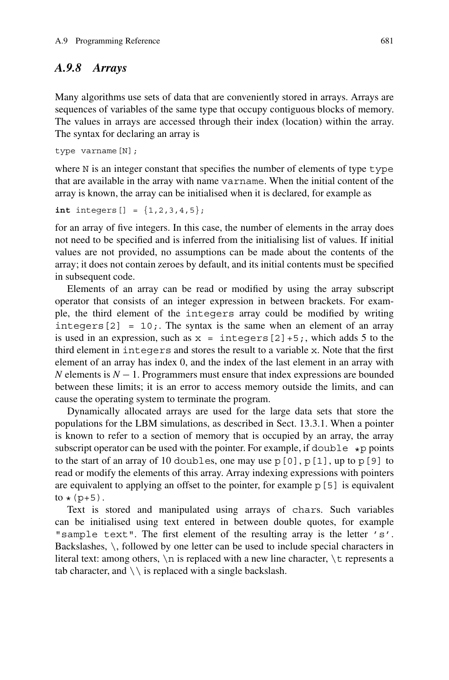### <span id="page-28-0"></span>*A.9.8 Arrays*

Many algorithms use sets of data that are conveniently stored in arrays. Arrays are sequences of variables of the same type that occupy contiguous blocks of memory. The values in arrays are accessed through their index (location) within the array. The syntax for declaring an array is

```
type varname[N];
```
where N is an integer constant that specifies the number of elements of type type that are available in the array with name varname. When the initial content of the array is known, the array can be initialised when it is declared, for example as

```
int integers [ = \{1, 2, 3, 4, 5\};
```
for an array of five integers. In this case, the number of elements in the array does not need to be specified and is inferred from the initialising list of values. If initial values are not provided, no assumptions can be made about the contents of the array; it does not contain zeroes by default, and its initial contents must be specified in subsequent code.

Elements of an array can be read or modified by using the array subscript operator that consists of an integer expression in between brackets. For example, the third element of the integers array could be modified by writing integers  $[2] = 10$ ; The syntax is the same when an element of an array is used in an expression, such as  $x = \text{integers} [2]+5$ ;, which adds 5 to the third element in integers and stores the result to a variable x. Note that the first element of an array has index 0, and the index of the last element in an array with *N* elements is  $N - 1$ . Programmers must ensure that index expressions are bounded between these limits; it is an error to access memory outside the limits, and can cause the operating system to terminate the program.

Dynamically allocated arrays are used for the large data sets that store the populations for the LBM simulations, as described in Sect. 13.3.1. When a pointer is known to refer to a section of memory that is occupied by an array, the array subscript operator can be used with the pointer. For example, if double  $\star$ p points to the start of an array of 10 doubles, one may use  $p[0], p[1],$  up to  $p[9]$  to read or modify the elements of this array. Array indexing expressions with pointers are equivalent to applying an offset to the pointer, for example p[5] is equivalent to  $\star$  (p+5).

Text is stored and manipulated using arrays of chars. Such variables can be initialised using text entered in between double quotes, for example "sample text". The first element of the resulting array is the letter 's'. Backslashes, \, followed by one letter can be used to include special characters in literal text: among others,  $\n \in$  is replaced with a new line character,  $\nt$  represents a tab character, and  $\setminus \setminus$  is replaced with a single backslash.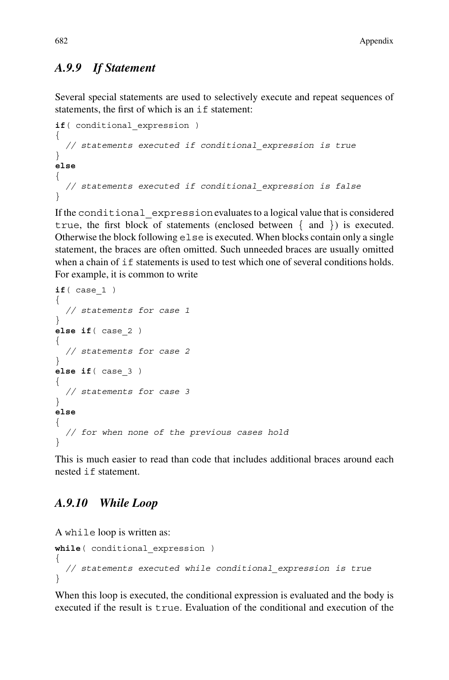# *A.9.9 If Statement*

Several special statements are used to selectively execute and repeat sequences of statements, the first of which is an if statement:

```
if( conditional_expression )
{
  // statements executed if conditional_expression is true
}
else
{
  // statements executed if conditional_expression is false
}
```
If the conditional\_expressionevaluates to a logical value that is considered true, the first block of statements (enclosed between  $\{$  and  $\})$ ) is executed. Otherwise the block following else is executed. When blocks contain only a single statement, the braces are often omitted. Such unneeded braces are usually omitted when a chain of  $\pm$  f statements is used to test which one of several conditions holds. For example, it is common to write

```
if( case_1 )
{
  // statements for case 1
\mathfrak{g}else if( case_2 )
{
  // statements for case 2
}
else if( case_3 )
{
  // statements for case 3
}
else
{
  // for when none of the previous cases hold
}
```
This is much easier to read than code that includes additional braces around each nested if statement.

# *A.9.10 While Loop*

```
A while loop is written as:
while( conditional_expression )
{
  // statements executed while conditional_expression is true
}
```
When this loop is executed, the conditional expression is evaluated and the body is executed if the result is true. Evaluation of the conditional and execution of the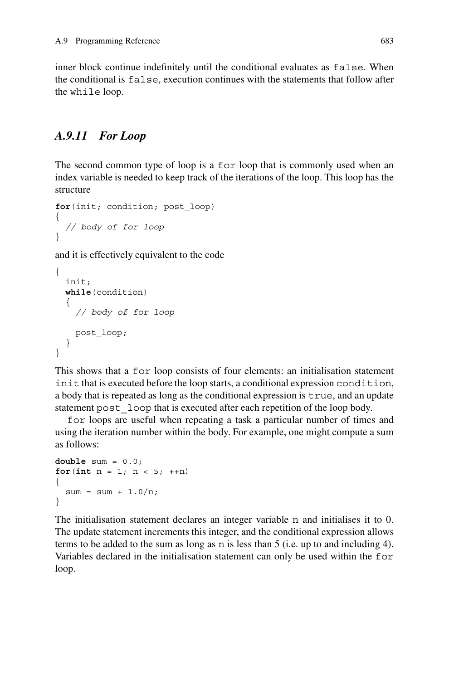inner block continue indefinitely until the conditional evaluates as false. When the conditional is false, execution continues with the statements that follow after the while loop.

# *A.9.11 For Loop*

The second common type of loop is a for loop that is commonly used when an index variable is needed to keep track of the iterations of the loop. This loop has the structure

```
for(init; condition; post loop)
{
  // body of for loop
}
```
and it is effectively equivalent to the code

```
{
 init;
 while(condition)
  {
    // body of for loop
   post_loop;
  }
}
```
This shows that a for loop consists of four elements: an initialisation statement init that is executed before the loop starts, a conditional expression condition, a body that is repeated as long as the conditional expression is true, and an update statement post loop that is executed after each repetition of the loop body.

for loops are useful when repeating a task a particular number of times and using the iteration number within the body. For example, one might compute a sum as follows:

```
double sum = 0.0;
for(\text{int } n = 1; n < 5; ++n)
{
  sum = sum + 1.0/n;}
```
The initialisation statement declares an integer variable n and initialises it to 0. The update statement increments this integer, and the conditional expression allows terms to be added to the sum as long as n is less than 5 (i.e. up to and including 4). Variables declared in the initialisation statement can only be used within the for loop.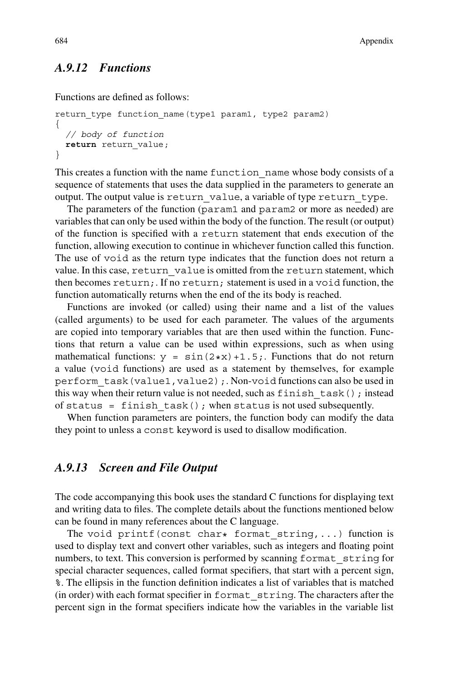### *A.9.12 Functions*

Functions are defined as follows:

```
return type function name(type1 param1, type2 param2)
{
  // body of function
  return return_value;
}
```
This creates a function with the name function\_name whose body consists of a sequence of statements that uses the data supplied in the parameters to generate an output. The output value is return\_value, a variable of type return\_type.

The parameters of the function (param1 and param2 or more as needed) are variables that can only be used within the body of the function. The result (or output) of the function is specified with a return statement that ends execution of the function, allowing execution to continue in whichever function called this function. The use of void as the return type indicates that the function does not return a value. In this case, return\_value is omitted from the return statement, which then becomes return;. If no return; statement is used in a void function, the function automatically returns when the end of the its body is reached.

Functions are invoked (or called) using their name and a list of the values (called arguments) to be used for each parameter. The values of the arguments are copied into temporary variables that are then used within the function. Functions that return a value can be used within expressions, such as when using mathematical functions:  $y = \sin(2*x) + 1.5$ ;. Functions that do not return a value (void functions) are used as a statement by themselves, for example perform task(value1, value2);. Non-void functions can also be used in this way when their return value is not needed, such as finish task(); instead of status = finish task(); when status is not used subsequently.

When function parameters are pointers, the function body can modify the data they point to unless a const keyword is used to disallow modification.

#### *A.9.13 Screen and File Output*

The code accompanying this book uses the standard C functions for displaying text and writing data to files. The complete details about the functions mentioned below can be found in many references about the C language.

The void printf(const char\* format string,...) function is used to display text and convert other variables, such as integers and floating point numbers, to text. This conversion is performed by scanning format\_string for special character sequences, called format specifiers, that start with a percent sign, %. The ellipsis in the function definition indicates a list of variables that is matched (in order) with each format specifier in format\_string. The characters after the percent sign in the format specifiers indicate how the variables in the variable list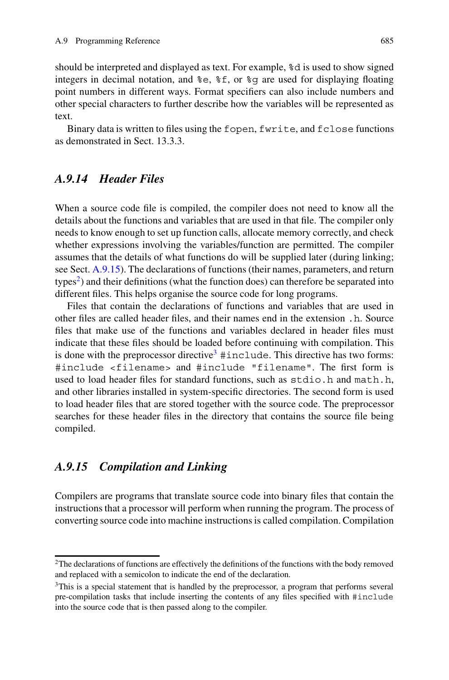should be interpreted and displayed as text. For example, %d is used to show signed integers in decimal notation, and  $\epsilon \in \mathcal{F}$ , or  $\epsilon q$  are used for displaying floating point numbers in different ways. Format specifiers can also include numbers and other special characters to further describe how the variables will be represented as text.

Binary data is written to files using the fopen, fwrite, and fclose functions as demonstrated in Sect. 13.3.3.

#### *A.9.14 Header Files*

When a source code file is compiled, the compiler does not need to know all the details about the functions and variables that are used in that file. The compiler only needs to know enough to set up function calls, allocate memory correctly, and check whether expressions involving the variables/function are permitted. The compiler assumes that the details of what functions do will be supplied later (during linking; see Sect. [A.9.15\)](#page-32-0). The declarations of functions (their names, parameters, and return types<sup>2</sup>) and their definitions (what the function does) can therefore be separated into different files. This helps organise the source code for long programs.

Files that contain the declarations of functions and variables that are used in other files are called header files, and their names end in the extension .h. Source files that make use of the functions and variables declared in header files must indicate that these files should be loaded before continuing with compilation. This is done with the preprocessor directive<sup>[3](#page-32-2)</sup> #include. This directive has two forms: #include <filename> and #include "filename". The first form is used to load header files for standard functions, such as  $stdio.h$  and math.h, and other libraries installed in system-specific directories. The second form is used to load header files that are stored together with the source code. The preprocessor searches for these header files in the directory that contains the source file being compiled.

#### <span id="page-32-0"></span>*A.9.15 Compilation and Linking*

Compilers are programs that translate source code into binary files that contain the instructions that a processor will perform when running the program. The process of converting source code into machine instructions is called compilation. Compilation

<span id="page-32-1"></span><sup>&</sup>lt;sup>2</sup>The declarations of functions are effectively the definitions of the functions with the body removed and replaced with a semicolon to indicate the end of the declaration.

<span id="page-32-2"></span><sup>3</sup>This is a special statement that is handled by the preprocessor, a program that performs several pre-compilation tasks that include inserting the contents of any files specified with #include into the source code that is then passed along to the compiler.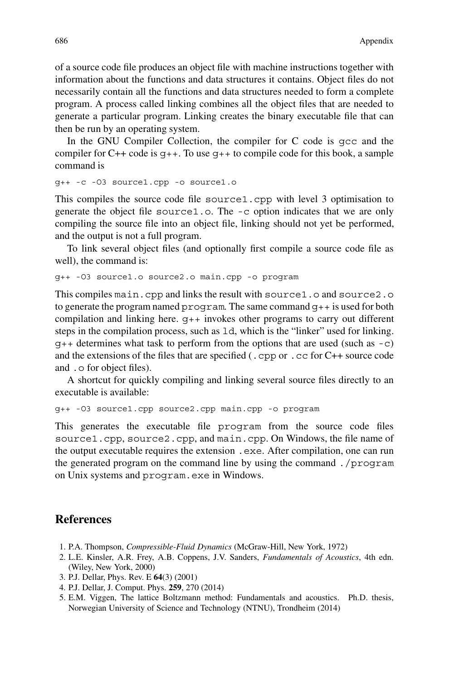of a source code file produces an object file with machine instructions together with information about the functions and data structures it contains. Object files do not necessarily contain all the functions and data structures needed to form a complete program. A process called linking combines all the object files that are needed to generate a particular program. Linking creates the binary executable file that can then be run by an operating system.

In the GNU Compiler Collection, the compiler for C code is gcc and the compiler for C++ code is  $q_{++}$ . To use  $q_{++}$  to compile code for this book, a sample command is

```
g++ -c -O3 source1.cpp -o source1.o
```
This compiles the source code file source1.cpp with level 3 optimisation to generate the object file source1.o. The -c option indicates that we are only compiling the source file into an object file, linking should not yet be performed, and the output is not a full program.

To link several object files (and optionally first compile a source code file as well), the command is:

g++ -O3 source1.o source2.o main.cpp -o program

This compiles main.cpp and links the result with source1.o and source2.o to generate the program named program. The same command  $q_{++}$  is used for both compilation and linking here. g++ invokes other programs to carry out different steps in the compilation process, such as ld, which is the "linker" used for linking.  $q++$  determines what task to perform from the options that are used (such as  $-c$ ) and the extensions of the files that are specified (.cpp or .cc for C++ source code and .o for object files).

A shortcut for quickly compiling and linking several source files directly to an executable is available:

```
g++ -O3 source1.cpp source2.cpp main.cpp -o program
```
This generates the executable file program from the source code files source1.cpp, source2.cpp, and main.cpp. On Windows, the file name of the output executable requires the extension .exe. After compilation, one can run the generated program on the command line by using the command ./program on Unix systems and program.exe in Windows.

#### **References**

- <span id="page-33-0"></span>1. P.A. Thompson, *Compressible-Fluid Dynamics* (McGraw-Hill, New York, 1972)
- <span id="page-33-1"></span>2. L.E. Kinsler, A.R. Frey, A.B. Coppens, J.V. Sanders, *Fundamentals of Acoustics*, 4th edn. (Wiley, New York, 2000)
- <span id="page-33-2"></span>3. P.J. Dellar, Phys. Rev. E **64**(3) (2001)
- <span id="page-33-3"></span>4. P.J. Dellar, J. Comput. Phys. **259**, 270 (2014)
- <span id="page-33-4"></span>5. E.M. Viggen, The lattice Boltzmann method: Fundamentals and acoustics. Ph.D. thesis, Norwegian University of Science and Technology (NTNU), Trondheim (2014)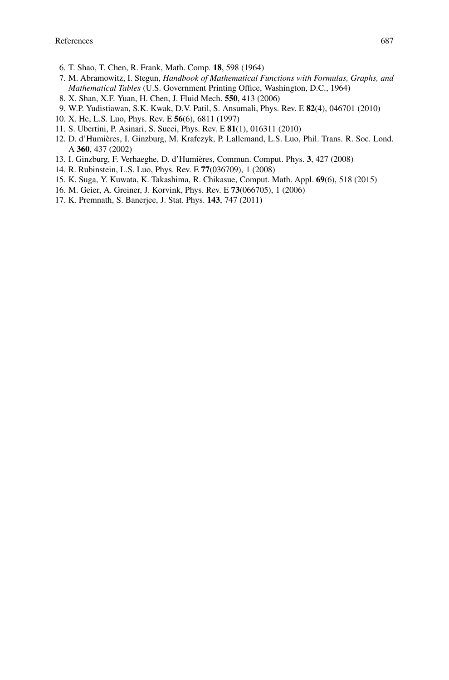- <span id="page-34-0"></span>6. T. Shao, T. Chen, R. Frank, Math. Comp. **18**, 598 (1964)
- <span id="page-34-1"></span>7. M. Abramowitz, I. Stegun, *Handbook of Mathematical Functions with Formulas, Graphs, and Mathematical Tables* (U.S. Government Printing Office, Washington, D.C., 1964)
- <span id="page-34-2"></span>8. X. Shan, X.F. Yuan, H. Chen, J. Fluid Mech. **550**, 413 (2006)
- <span id="page-34-3"></span>9. W.P. Yudistiawan, S.K. Kwak, D.V. Patil, S. Ansumali, Phys. Rev. E **82**(4), 046701 (2010)
- <span id="page-34-4"></span>10. X. He, L.S. Luo, Phys. Rev. E **56**(6), 6811 (1997)
- <span id="page-34-5"></span>11. S. Ubertini, P. Asinari, S. Succi, Phys. Rev. E **81**(1), 016311 (2010)
- <span id="page-34-6"></span>12. D. d'Humières, I. Ginzburg, M. Krafczyk, P. Lallemand, L.S. Luo, Phil. Trans. R. Soc. Lond. A **360**, 437 (2002)
- <span id="page-34-7"></span>13. I. Ginzburg, F. Verhaeghe, D. d'Humières, Commun. Comput. Phys. **3**, 427 (2008)
- <span id="page-34-8"></span>14. R. Rubinstein, L.S. Luo, Phys. Rev. E **77**(036709), 1 (2008)
- <span id="page-34-9"></span>15. K. Suga, Y. Kuwata, K. Takashima, R. Chikasue, Comput. Math. Appl. **69**(6), 518 (2015)
- <span id="page-34-10"></span>16. M. Geier, A. Greiner, J. Korvink, Phys. Rev. E **73**(066705), 1 (2006)
- <span id="page-34-11"></span>17. K. Premnath, S. Banerjee, J. Stat. Phys. **143**, 747 (2011)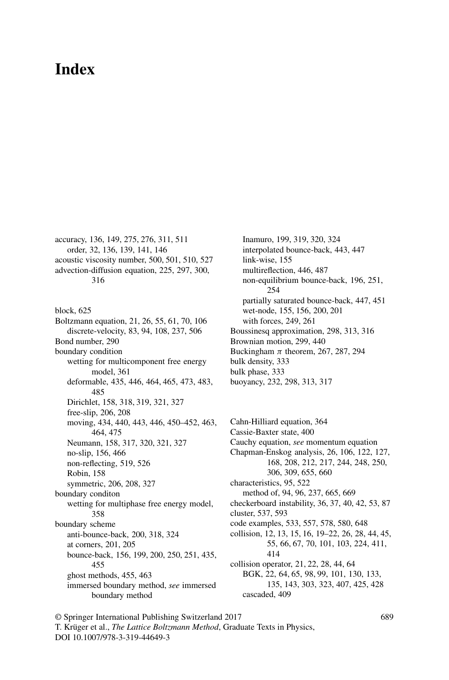# **Index**

accuracy, 136, 149, 275, 276, 311, 511 order, 32, 136, 139, 141, 146 acoustic viscosity number, 500, 501, 510, 527 advection-diffusion equation, 225, 297, 300, 316

block, 625 Boltzmann equation, 21, 26, 55, 61, 70, 106 discrete-velocity, 83, 94, 108, 237, 506 Bond number, 290 boundary condition wetting for multicomponent free energy model, 361 deformable, 435, 446, 464, 465, 473, 483, 485 Dirichlet, 158, 318, 319, 321, 327 free-slip, 206, 208 moving, 434, 440, 443, 446, 450–452, 463, 464, 475 Neumann, 158, 317, 320, 321, 327 no-slip, 156, 466 non-reflecting, 519, 526 Robin, 158 symmetric, 206, 208, 327 boundary conditon wetting for multiphase free energy model, 358 boundary scheme anti-bounce-back, 200, 318, 324 at corners, 201, 205 bounce-back, 156, 199, 200, 250, 251, 435, 455 ghost methods, 455, 463 immersed boundary method, *see* immersed boundary method

Inamuro, 199, 319, 320, 324 interpolated bounce-back, 443, 447 link-wise, 155 multireflection, 446, 487 non-equilibrium bounce-back, 196, 251, 254 partially saturated bounce-back, 447, 451 wet-node, 155, 156, 200, 201 with forces, 249, 261 Boussinesq approximation, 298, 313, 316 Brownian motion, 299, 440 Buckingham  $\pi$  theorem, 267, 287, 294 bulk density, 333 bulk phase, 333 buoyancy, 232, 298, 313, 317

Cahn-Hilliard equation, 364 Cassie-Baxter state, 400 Cauchy equation, *see* momentum equation Chapman-Enskog analysis, 26, 106, 122, 127, 168, 208, 212, 217, 244, 248, 250, 306, 309, 655, 660 characteristics, 95, 522 method of, 94, 96, 237, 665, 669 checkerboard instability, 36, 37, 40, 42, 53, 87 cluster, 537, 593 code examples, 533, 557, 578, 580, 648 collision, 12, 13, 15, 16, 19–22, 26, 28, 44, 45, 55, 66, 67, 70, 101, 103, 224, 411, 414 collision operator, 21, 22, 28, 44, 64 BGK, 22, 64, 65, 98, 99, 101, 130, 133, 135, 143, 303, 323, 407, 425, 428 cascaded, 409

© Springer International Publishing Switzerland 2017 T. Krüger et al., *The Lattice Boltzmann Method*, Graduate Texts in Physics, DOI 10.1007/978-3-319-44649-3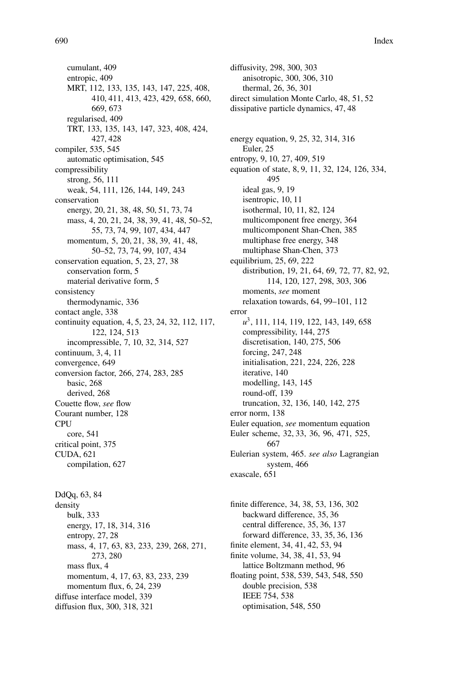cumulant, 409 entropic, 409 MRT, 112, 133, 135, 143, 147, 225, 408, 410, 411, 413, 423, 429, 658, 660, 669, 673 regularised, 409 TRT, 133, 135, 143, 147, 323, 408, 424, 427, 428 compiler, 535, 545 automatic optimisation, 545 compressibility strong, 56, 111 weak, 54, 111, 126, 144, 149, 243 conservation energy, 20, 21, 38, 48, 50, 51, 73, 74 mass, 4, 20, 21, 24, 38, 39, 41, 48, 50–52, 55, 73, 74, 99, 107, 434, 447 momentum, 5, 20, 21, 38, 39, 41, 48, 50–52, 73, 74, 99, 107, 434 conservation equation, 5, 23, 27, 38 conservation form, 5 material derivative form, 5 consistency thermodynamic, 336 contact angle, 338 continuity equation, 4, 5, 23, 24, 32, 112, 117, 122, 124, 513 incompressible, 7, 10, 32, 314, 527 continuum, 3, 4, 11 convergence, 649 conversion factor, 266, 274, 283, 285 basic, 268 derived, 268 Couette flow, *see* flow Courant number, 128 **CPU** core, 541 critical point, 375 CUDA, 621 compilation, 627

DdQq, 63, 84 density bulk, 333 energy, 17, 18, 314, 316 entropy, 27, 28 mass, 4, 17, 63, 83, 233, 239, 268, 271, 273, 280 mass flux, 4 momentum, 4, 17, 63, 83, 233, 239 momentum flux, 6, 24, 239 diffuse interface model, 339 diffusion flux, 300, 318, 321

diffusivity, 298, 300, 303 anisotropic, 300, 306, 310 thermal, 26, 36, 301 direct simulation Monte Carlo, 48, 51, 52 dissipative particle dynamics, 47, 48

energy equation, 9, 25, 32, 314, 316 Euler, 25 entropy, 9, 10, 27, 409, 519 equation of state, 8, 9, 11, 32, 124, 126, 334, 495 ideal gas, 9, 19 isentropic, 10, 11 isothermal, 10, 11, 82, 124 multicomponent free energy, 364 multicomponent Shan-Chen, 385 multiphase free energy, 348 multiphase Shan-Chen, 373 equilibrium, 25, 69, 222 distribution, 19, 21, 64, 69, 72, 77, 82, 92, 114, 120, 127, 298, 303, 306 moments, *see* moment relaxation towards, 64, 99–101, 112 error *u*<sup>3</sup>, 111, 114, 119, 122, 143, 149, 658 compressibility, 144, 275 discretisation, 140, 275, 506 forcing, 247, 248 initialisation, 221, 224, 226, 228 iterative, 140 modelling, 143, 145 round-off, 139 truncation, 32, 136, 140, 142, 275 error norm, 138 Euler equation, *see* momentum equation Euler scheme, 32, 33, 36, 96, 471, 525, 667 Eulerian system, 465. *see also* Lagrangian system, 466

exascale, 651

finite difference, 34, 38, 53, 136, 302 backward difference, 35, 36 central difference, 35, 36, 137 forward difference, 33, 35, 36, 136 finite element, 34, 41, 42, 53, 94 finite volume, 34, 38, 41, 53, 94 lattice Boltzmann method, 96 floating point, 538, 539, 543, 548, 550 double precision, 538 IEEE 754, 538 optimisation, 548, 550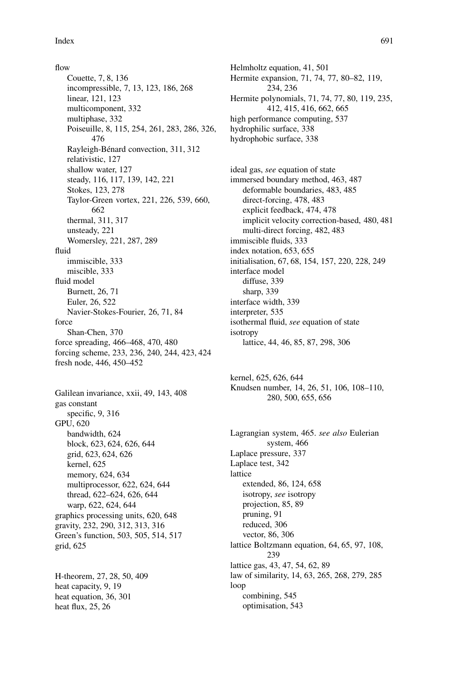#### flow

Couette, 7, 8, 136 incompressible, 7, 13, 123, 186, 268 linear, 121, 123 multicomponent, 332 multiphase, 332 Poiseuille, 8, 115, 254, 261, 283, 286, 326, 476 Rayleigh-Bénard convection, 311, 312 relativistic, 127 shallow water, 127 steady, 116, 117, 139, 142, 221 Stokes, 123, 278 Taylor-Green vortex, 221, 226, 539, 660, 662 thermal, 311, 317 unsteady, 221 Womersley, 221, 287, 289 fluid immiscible, 333 miscible, 333 fluid model Burnett, 26, 71 Euler, 26, 522 Navier-Stokes-Fourier, 26, 71, 84 force Shan-Chen, 370 force spreading, 466–468, 470, 480 forcing scheme, 233, 236, 240, 244, 423, 424 fresh node, 446, 450–452

Galilean invariance, xxii, 49, 143, 408 gas constant specific, 9, 316 GPU, 620 bandwidth, 624 block, 623, 624, 626, 644 grid, 623, 624, 626 kernel, 625 memory, 624, 634 multiprocessor, 622, 624, 644 thread, 622–624, 626, 644 warp, 622, 624, 644 graphics processing units, 620, 648 gravity, 232, 290, 312, 313, 316 Green's function, 503, 505, 514, 517 grid, 625

H-theorem, 27, 28, 50, 409 heat capacity, 9, 19 heat equation, 36, 301 heat flux, 25, 26

Helmholtz equation, 41, 501 Hermite expansion, 71, 74, 77, 80–82, 119, 234, 236 Hermite polynomials, 71, 74, 77, 80, 119, 235, 412, 415, 416, 662, 665 high performance computing, 537 hydrophilic surface, 338 hydrophobic surface, 338

ideal gas, *see* equation of state immersed boundary method, 463, 487 deformable boundaries, 483, 485 direct-forcing, 478, 483 explicit feedback, 474, 478 implicit velocity correction-based, 480, 481 multi-direct forcing, 482, 483 immiscible fluids, 333 index notation, 653, 655 initialisation, 67, 68, 154, 157, 220, 228, 249 interface model diffuse, 339 sharp, 339 interface width, 339 interpreter, 535 isothermal fluid, *see* equation of state isotropy lattice, 44, 46, 85, 87, 298, 306

kernel, 625, 626, 644 Knudsen number, 14, 26, 51, 106, 108–110, 280, 500, 655, 656

Lagrangian system, 465. *see also* Eulerian system, 466 Laplace pressure, 337 Laplace test, 342 lattice extended, 86, 124, 658 isotropy, *see* isotropy projection, 85, 89 pruning, 91 reduced, 306 vector, 86, 306 lattice Boltzmann equation, 64, 65, 97, 108, 239 lattice gas, 43, 47, 54, 62, 89 law of similarity, 14, 63, 265, 268, 279, 285 loop combining, 545 optimisation, 543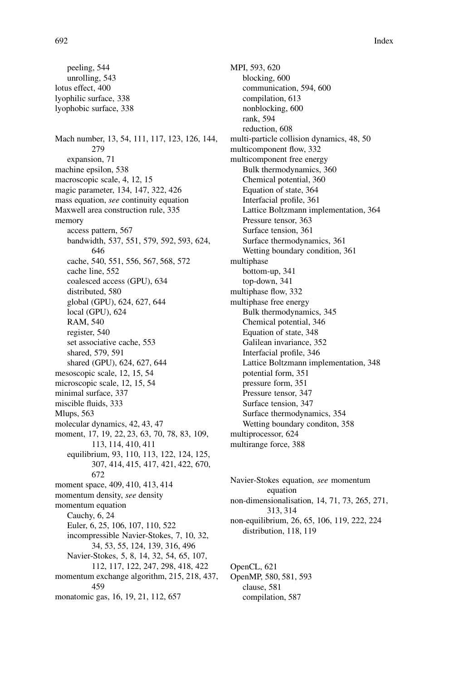peeling, 544 unrolling, 543 lotus effect, 400 lyophilic surface, 338 lyophobic surface, 338

Mach number, 13, 54, 111, 117, 123, 126, 144, 279 expansion, 71 machine epsilon, 538 macroscopic scale, 4, 12, 15 magic parameter, 134, 147, 322, 426 mass equation, *see* continuity equation Maxwell area construction rule, 335 memory access pattern, 567 bandwidth, 537, 551, 579, 592, 593, 624, 646 cache, 540, 551, 556, 567, 568, 572 cache line, 552 coalesced access (GPU), 634 distributed, 580 global (GPU), 624, 627, 644 local (GPU), 624 RAM, 540 register, 540 set associative cache, 553 shared, 579, 591 shared (GPU), 624, 627, 644 mesoscopic scale, 12, 15, 54 microscopic scale, 12, 15, 54 minimal surface, 337 miscible fluids, 333 Mlups, 563 molecular dynamics, 42, 43, 47 moment, 17, 19, 22, 23, 63, 70, 78, 83, 109, 113, 114, 410, 411 equilibrium, 93, 110, 113, 122, 124, 125, 307, 414, 415, 417, 421, 422, 670, 672 moment space, 409, 410, 413, 414 momentum density, *see* density momentum equation Cauchy, 6, 24 Euler, 6, 25, 106, 107, 110, 522 incompressible Navier-Stokes, 7, 10, 32, 34, 53, 55, 124, 139, 316, 496 Navier-Stokes, 5, 8, 14, 32, 54, 65, 107, 112, 117, 122, 247, 298, 418, 422 momentum exchange algorithm, 215, 218, 437, 459 monatomic gas, 16, 19, 21, 112, 657

MPI, 593, 620 blocking, 600 communication, 594, 600 compilation, 613 nonblocking, 600 rank, 594 reduction, 608 multi-particle collision dynamics, 48, 50 multicomponent flow, 332 multicomponent free energy Bulk thermodynamics, 360 Chemical potential, 360 Equation of state, 364 Interfacial profile, 361 Lattice Boltzmann implementation, 364 Pressure tensor, 363 Surface tension, 361 Surface thermodynamics, 361 Wetting boundary condition, 361 multiphase bottom-up, 341 top-down, 341 multiphase flow, 332 multiphase free energy Bulk thermodynamics, 345 Chemical potential, 346 Equation of state, 348 Galilean invariance, 352 Interfacial profile, 346 Lattice Boltzmann implementation, 348 potential form, 351 pressure form, 351 Pressure tensor, 347 Surface tension, 347 Surface thermodynamics, 354 Wetting boundary conditon, 358 multiprocessor, 624 multirange force, 388

Navier-Stokes equation, *see* momentum equation non-dimensionalisation, 14, 71, 73, 265, 271, 313, 314 non-equilibrium, 26, 65, 106, 119, 222, 224 distribution, 118, 119

OpenCL, 621 OpenMP, 580, 581, 593 clause, 581 compilation, 587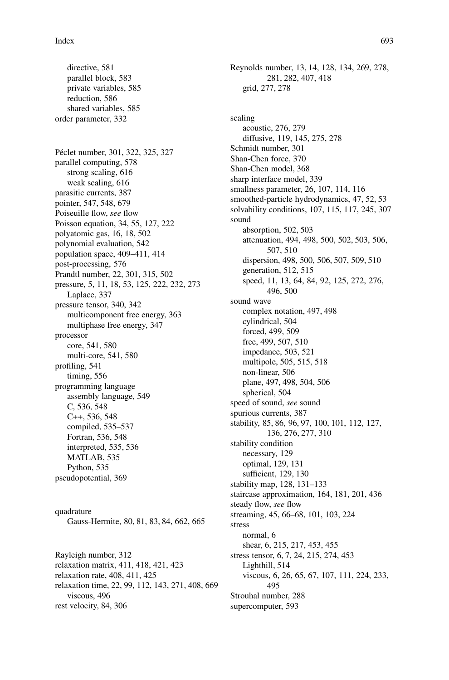directive, 581 parallel block, 583 private variables, 585 reduction, 586 shared variables, 585 order parameter, 332

Péclet number, 301, 322, 325, 327 parallel computing, 578 strong scaling, 616 weak scaling, 616 parasitic currents, 387 pointer, 547, 548, 679 Poiseuille flow, *see* flow Poisson equation, 34, 55, 127, 222 polyatomic gas, 16, 18, 502 polynomial evaluation, 542 population space, 409–411, 414 post-processing, 576 Prandtl number, 22, 301, 315, 502 pressure, 5, 11, 18, 53, 125, 222, 232, 273 Laplace, 337 pressure tensor, 340, 342 multicomponent free energy, 363 multiphase free energy, 347 processor core, 541, 580 multi-core, 541, 580 profiling, 541 timing, 556 programming language assembly language, 549 C, 536, 548 C++, 536, 548 compiled, 535–537 Fortran, 536, 548 interpreted, 535, 536 MATLAB, 535 Python, 535 pseudopotential, 369

quadrature Gauss-Hermite, 80, 81, 83, 84, 662, 665

Rayleigh number, 312 relaxation matrix, 411, 418, 421, 423 relaxation rate, 408, 411, 425 relaxation time, 22, 99, 112, 143, 271, 408, 669 viscous, 496 rest velocity, 84, 306

Reynolds number, 13, 14, 128, 134, 269, 278, 281, 282, 407, 418 grid, 277, 278 scaling acoustic, 276, 279 diffusive, 119, 145, 275, 278 Schmidt number, 301 Shan-Chen force, 370 Shan-Chen model, 368 sharp interface model, 339 smallness parameter, 26, 107, 114, 116 smoothed-particle hydrodynamics, 47, 52, 53 solvability conditions, 107, 115, 117, 245, 307 sound absorption, 502, 503 attenuation, 494, 498, 500, 502, 503, 506, 507, 510 dispersion, 498, 500, 506, 507, 509, 510 generation, 512, 515 speed, 11, 13, 64, 84, 92, 125, 272, 276, 496, 500 sound wave complex notation, 497, 498 cylindrical, 504 forced, 499, 509 free, 499, 507, 510 impedance, 503, 521 multipole, 505, 515, 518 non-linear, 506 plane, 497, 498, 504, 506 spherical, 504 speed of sound, *see* sound spurious currents, 387 stability, 85, 86, 96, 97, 100, 101, 112, 127, 136, 276, 277, 310 stability condition necessary, 129 optimal, 129, 131 sufficient, 129, 130 stability map, 128, 131–133 staircase approximation, 164, 181, 201, 436 steady flow, *see* flow streaming, 45, 66–68, 101, 103, 224 stress normal, 6 shear, 6, 215, 217, 453, 455 stress tensor, 6, 7, 24, 215, 274, 453 Lighthill, 514 viscous, 6, 26, 65, 67, 107, 111, 224, 233, 495 Strouhal number, 288 supercomputer, 593